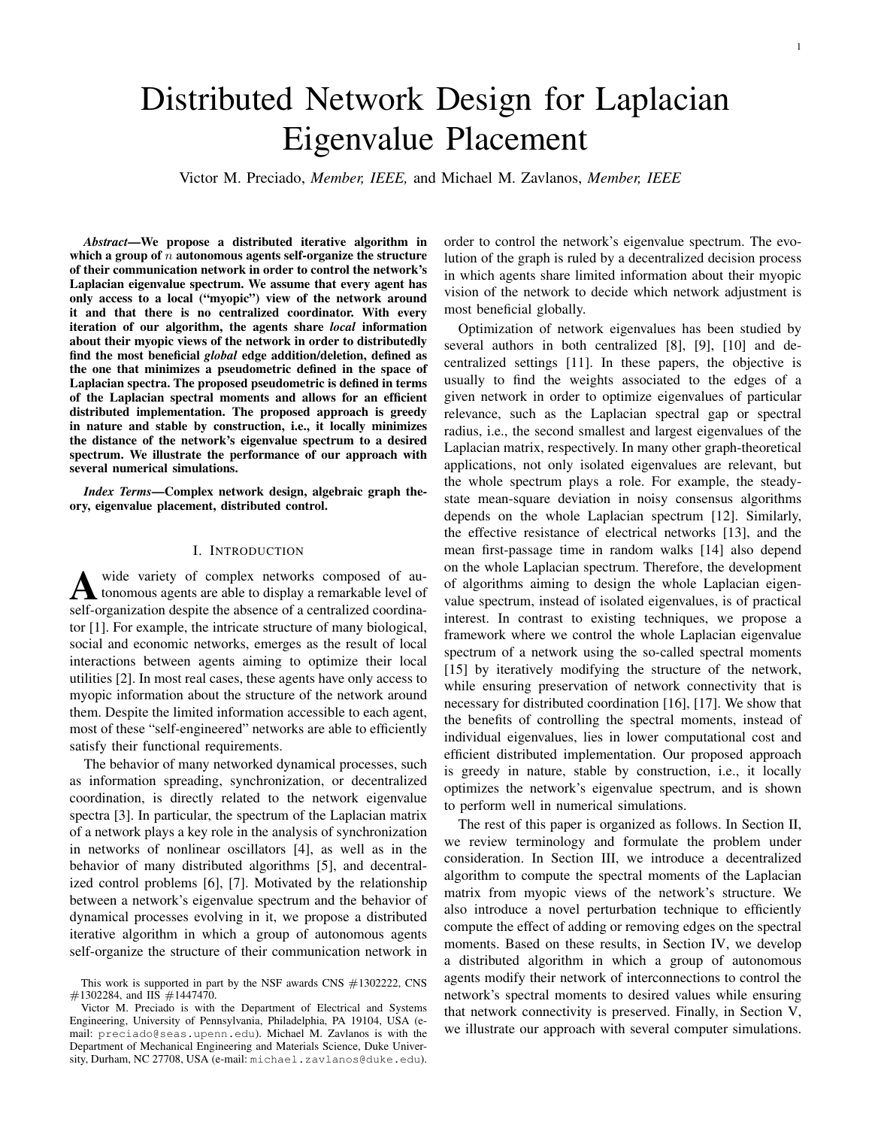# Distributed Network Design for Laplacian Eigenvalue Placement

Victor M. Preciado, *Member, IEEE,* and Michael M. Zavlanos, *Member, IEEE*

*Abstract*—We propose a distributed iterative algorithm in which a group of  $n$  autonomous agents self-organize the structure of their communication network in order to control the network's Laplacian eigenvalue spectrum. We assume that every agent has only access to a local ("myopic") view of the network around it and that there is no centralized coordinator. With every iteration of our algorithm, the agents share *local* information about their myopic views of the network in order to distributedly find the most beneficial *global* edge addition/deletion, defined as the one that minimizes a pseudometric defined in the space of Laplacian spectra. The proposed pseudometric is defined in terms of the Laplacian spectral moments and allows for an efficient distributed implementation. The proposed approach is greedy in nature and stable by construction, i.e., it locally minimizes the distance of the network's eigenvalue spectrum to a desired spectrum. We illustrate the performance of our approach with several numerical simulations.

*Index Terms*—Complex network design, algebraic graph theory, eigenvalue placement, distributed control.

#### I. INTRODUCTION

A wide variety of complex networks composed of autonomous agents are able to display a remarkable level of self-organization despite the absence of a centralized coordinawide variety of complex networks composed of autonomous agents are able to display a remarkable level of tor [1]. For example, the intricate structure of many biological, social and economic networks, emerges as the result of local interactions between agents aiming to optimize their local utilities [2]. In most real cases, these agents have only access to myopic information about the structure of the network around them. Despite the limited information accessible to each agent, most of these "self-engineered" networks are able to efficiently satisfy their functional requirements.

The behavior of many networked dynamical processes, such as information spreading, synchronization, or decentralized coordination, is directly related to the network eigenvalue spectra [3]. In particular, the spectrum of the Laplacian matrix of a network plays a key role in the analysis of synchronization in networks of nonlinear oscillators [4], as well as in the behavior of many distributed algorithms [5], and decentralized control problems [6], [7]. Motivated by the relationship between a network's eigenvalue spectrum and the behavior of dynamical processes evolving in it, we propose a distributed iterative algorithm in which a group of autonomous agents self-organize the structure of their communication network in

order to control the network's eigenvalue spectrum. The evolution of the graph is ruled by a decentralized decision process in which agents share limited information about their myopic vision of the network to decide which network adjustment is most beneficial globally.

Optimization of network eigenvalues has been studied by several authors in both centralized [8], [9], [10] and decentralized settings [11]. In these papers, the objective is usually to find the weights associated to the edges of a given network in order to optimize eigenvalues of particular relevance, such as the Laplacian spectral gap or spectral radius, i.e., the second smallest and largest eigenvalues of the Laplacian matrix, respectively. In many other graph-theoretical applications, not only isolated eigenvalues are relevant, but the whole spectrum plays a role. For example, the steadystate mean-square deviation in noisy consensus algorithms depends on the whole Laplacian spectrum [12]. Similarly, the effective resistance of electrical networks [13], and the mean first-passage time in random walks [14] also depend on the whole Laplacian spectrum. Therefore, the development of algorithms aiming to design the whole Laplacian eigenvalue spectrum, instead of isolated eigenvalues, is of practical interest. In contrast to existing techniques, we propose a framework where we control the whole Laplacian eigenvalue spectrum of a network using the so-called spectral moments [15] by iteratively modifying the structure of the network, while ensuring preservation of network connectivity that is necessary for distributed coordination [16], [17]. We show that the benefits of controlling the spectral moments, instead of individual eigenvalues, lies in lower computational cost and efficient distributed implementation. Our proposed approach is greedy in nature, stable by construction, i.e., it locally optimizes the network's eigenvalue spectrum, and is shown to perform well in numerical simulations.

The rest of this paper is organized as follows. In Section II, we review terminology and formulate the problem under consideration. In Section III, we introduce a decentralized algorithm to compute the spectral moments of the Laplacian matrix from myopic views of the network's structure. We also introduce a novel perturbation technique to efficiently compute the effect of adding or removing edges on the spectral moments. Based on these results, in Section IV, we develop a distributed algorithm in which a group of autonomous agents modify their network of interconnections to control the network's spectral moments to desired values while ensuring that network connectivity is preserved. Finally, in Section V, we illustrate our approach with several computer simulations.

This work is supported in part by the NSF awards CNS #1302222, CNS #1302284, and IIS #1447470.

Victor M. Preciado is with the Department of Electrical and Systems Engineering, University of Pennsylvania, Philadelphia, PA 19104, USA (email: preciado@seas.upenn.edu). Michael M. Zavlanos is with the Department of Mechanical Engineering and Materials Science, Duke University, Durham, NC 27708, USA (e-mail: michael.zavlanos@duke.edu).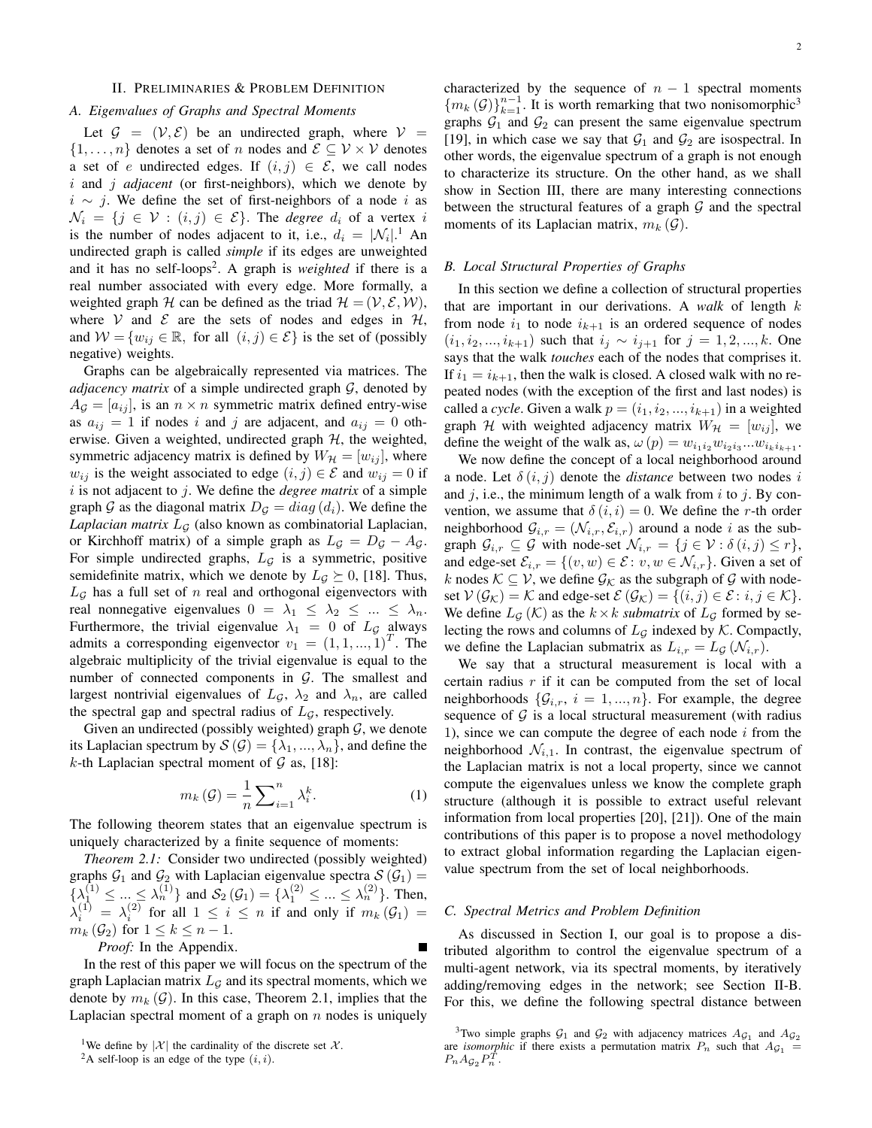## II. PRELIMINARIES & PROBLEM DEFINITION

## *A. Eigenvalues of Graphs and Spectral Moments*

Let  $\mathcal{G} = (\mathcal{V}, \mathcal{E})$  be an undirected graph, where  $\mathcal{V} =$  $\{1, \ldots, n\}$  denotes a set of n nodes and  $\mathcal{E} \subseteq \mathcal{V} \times \mathcal{V}$  denotes a set of e undirected edges. If  $(i, j) \in \mathcal{E}$ , we call nodes i and j *adjacent* (or first-neighbors), which we denote by  $i \sim j$ . We define the set of first-neighbors of a node i as  $\mathcal{N}_i = \{j \in \mathcal{V} : (i,j) \in \mathcal{E}\}\.$  The *degree*  $d_i$  of a vertex i is the number of nodes adjacent to it, i.e.,  $d_i = |\mathcal{N}_i|$ .<sup>1</sup> An undirected graph is called *simple* if its edges are unweighted and it has no self-loops<sup>2</sup>. A graph is *weighted* if there is a real number associated with every edge. More formally, a weighted graph H can be defined as the triad  $\mathcal{H} = (\mathcal{V}, \mathcal{E}, \mathcal{W})$ , where V and  $\mathcal E$  are the sets of nodes and edges in  $\mathcal H$ , and  $W = \{w_{ij} \in \mathbb{R}, \text{ for all } (i,j) \in \mathcal{E}\}\$ is the set of (possibly negative) weights.

Graphs can be algebraically represented via matrices. The *adjacency matrix* of a simple undirected graph  $G$ , denoted by  $A_{\mathcal{G}} = [a_{ij}]$ , is an  $n \times n$  symmetric matrix defined entry-wise as  $a_{ij} = 1$  if nodes i and j are adjacent, and  $a_{ij} = 0$  otherwise. Given a weighted, undirected graph  $H$ , the weighted, symmetric adjacency matrix is defined by  $W_{\mathcal{H}} = [w_{ij}]$ , where  $w_{ij}$  is the weight associated to edge  $(i, j) \in \mathcal{E}$  and  $w_{ij} = 0$  if i is not adjacent to j. We define the *degree matrix* of a simple graph G as the diagonal matrix  $D_{\mathcal{G}} = diag(d_i)$ . We define the *Laplacian matrix*  $L_g$  (also known as combinatorial Laplacian, or Kirchhoff matrix) of a simple graph as  $L_g = D_g - A_g$ . For simple undirected graphs,  $L_G$  is a symmetric, positive semidefinite matrix, which we denote by  $L_g \succeq 0$ , [18]. Thus,  $L_G$  has a full set of n real and orthogonal eigenvectors with real nonnegative eigenvalues  $0 = \lambda_1 \leq \lambda_2 \leq ... \leq \lambda_n$ . Furthermore, the trivial eigenvalue  $\lambda_1 = 0$  of  $L_g$  always admits a corresponding eigenvector  $v_1 = (1, 1, ..., 1)^T$ . The algebraic multiplicity of the trivial eigenvalue is equal to the number of connected components in  $G$ . The smallest and largest nontrivial eigenvalues of  $L_{\mathcal{G}}$ ,  $\lambda_2$  and  $\lambda_n$ , are called the spectral gap and spectral radius of  $L<sub>G</sub>$ , respectively.

Given an undirected (possibly weighted) graph  $G$ , we denote its Laplacian spectrum by  $S(\mathcal{G}) = {\lambda_1, ..., \lambda_n}$ , and define the k-th Laplacian spectral moment of  $G$  as, [18]:

$$
m_k(\mathcal{G}) = \frac{1}{n} \sum_{i=1}^n \lambda_i^k.
$$
 (1)

The following theorem states that an eigenvalue spectrum is uniquely characterized by a finite sequence of moments:

*Theorem 2.1:* Consider two undirected (possibly weighted) graphs  $G_1$  and  $G_2$  with Laplacian eigenvalue spectra  $S(G_1)$  =  $\{\lambda_1^{(1)} \leq \dots \leq \lambda_n^{(1)}\}$  and  $S_2(\mathcal{G}_1) = \{\lambda_1^{(2)} \leq \dots \leq \lambda_n^{(2)}\}$ . Then,  $\lambda_i^{(1)} = \lambda_i^{(2)}$  for all  $1 \leq i \leq n$  if and only if  $m_k(\mathcal{G}_1) =$  $m_k(\mathcal{G}_2)$  for  $1 \leq k \leq n-1$ .

*Proof:* In the Appendix.

In the rest of this paper we will focus on the spectrum of the graph Laplacian matrix  $L_G$  and its spectral moments, which we denote by  $m_k(\mathcal{G})$ . In this case, Theorem 2.1, implies that the Laplacian spectral moment of a graph on  $n$  nodes is uniquely

characterized by the sequence of  $n - 1$  spectral moments  ${m_k(\mathcal{G})}_{k=1}^{n-1}$ . It is worth remarking that two nonisomorphic<sup>3</sup> graphs  $G_1$  and  $G_2$  can present the same eigenvalue spectrum [19], in which case we say that  $G_1$  and  $G_2$  are isospectral. In other words, the eigenvalue spectrum of a graph is not enough to characterize its structure. On the other hand, as we shall show in Section III, there are many interesting connections between the structural features of a graph  $\mathcal G$  and the spectral moments of its Laplacian matrix,  $m_k(\mathcal{G})$ .

# *B. Local Structural Properties of Graphs*

In this section we define a collection of structural properties that are important in our derivations. A *walk* of length k from node  $i_1$  to node  $i_{k+1}$  is an ordered sequence of nodes  $(i_1, i_2, ..., i_{k+1})$  such that  $i_j \sim i_{j+1}$  for  $j = 1, 2, ..., k$ . One says that the walk *touches* each of the nodes that comprises it. If  $i_1 = i_{k+1}$ , then the walk is closed. A closed walk with no repeated nodes (with the exception of the first and last nodes) is called a *cycle*. Given a walk  $p = (i_1, i_2, ..., i_{k+1})$  in a weighted graph H with weighted adjacency matrix  $W_{\mathcal{H}} = [w_{ij}]$ , we define the weight of the walk as,  $\omega(p) = w_{i_1 i_2} w_{i_2 i_3} ... w_{i_k i_{k+1}}$ .

We now define the concept of a local neighborhood around a node. Let  $\delta(i, j)$  denote the *distance* between two nodes i and  $j$ , i.e., the minimum length of a walk from  $i$  to  $j$ . By convention, we assume that  $\delta(i, i) = 0$ . We define the r-th order neighborhood  $\mathcal{G}_{i,r} = (\mathcal{N}_{i,r}, \mathcal{E}_{i,r})$  around a node i as the subgraph  $\mathcal{G}_{i,r} \subseteq \mathcal{G}$  with node-set  $\mathcal{N}_{i,r} = \{j \in \mathcal{V} : \delta(i,j) \leq r\},\$ and edge-set  $\mathcal{E}_{i,r} = \{(v,w) \in \mathcal{E} : v, w \in \mathcal{N}_{i,r}\}.$  Given a set of k nodes  $K \subseteq V$ , we define  $\mathcal{G}_K$  as the subgraph of  $\mathcal{G}$  with nodeset  $V(\mathcal{G}_{\mathcal{K}}) = \mathcal{K}$  and edge-set  $\mathcal{E}(\mathcal{G}_{\mathcal{K}}) = \{(i, j) \in \mathcal{E} : i, j \in \mathcal{K}\}.$ We define  $L_G(\mathcal{K})$  as the  $k \times k$  *submatrix* of  $L_G$  formed by selecting the rows and columns of  $L_G$  indexed by  $K$ . Compactly, we define the Laplacian submatrix as  $L_{i,r} = L_{\mathcal{G}}(\mathcal{N}_{i,r}).$ 

We say that a structural measurement is local with a certain radius  $r$  if it can be computed from the set of local neighborhoods  $\{\mathcal{G}_{i,r}, i = 1, ..., n\}$ . For example, the degree sequence of  $G$  is a local structural measurement (with radius 1), since we can compute the degree of each node  $i$  from the neighborhood  $\mathcal{N}_{i,1}$ . In contrast, the eigenvalue spectrum of the Laplacian matrix is not a local property, since we cannot compute the eigenvalues unless we know the complete graph structure (although it is possible to extract useful relevant information from local properties [20], [21]). One of the main contributions of this paper is to propose a novel methodology to extract global information regarding the Laplacian eigenvalue spectrum from the set of local neighborhoods.

## *C. Spectral Metrics and Problem Definition*

As discussed in Section I, our goal is to propose a distributed algorithm to control the eigenvalue spectrum of a multi-agent network, via its spectral moments, by iteratively adding/removing edges in the network; see Section II-B. For this, we define the following spectral distance between

<sup>&</sup>lt;sup>1</sup>We define by  $|\mathcal{X}|$  the cardinality of the discrete set  $\mathcal{X}$ .

<sup>&</sup>lt;sup>2</sup>A self-loop is an edge of the type  $(i, i)$ .

<sup>&</sup>lt;sup>3</sup>Two simple graphs  $G_1$  and  $G_2$  with adjacency matrices  $A_{G_1}$  and  $A_{G_2}$ are *isomorphic* if there exists a permutation matrix  $P_n$  such that  $A_{\mathcal{G}_1}$  =  $P_n A_{\mathcal{G}_2} P_n^{\bar{T}}$ .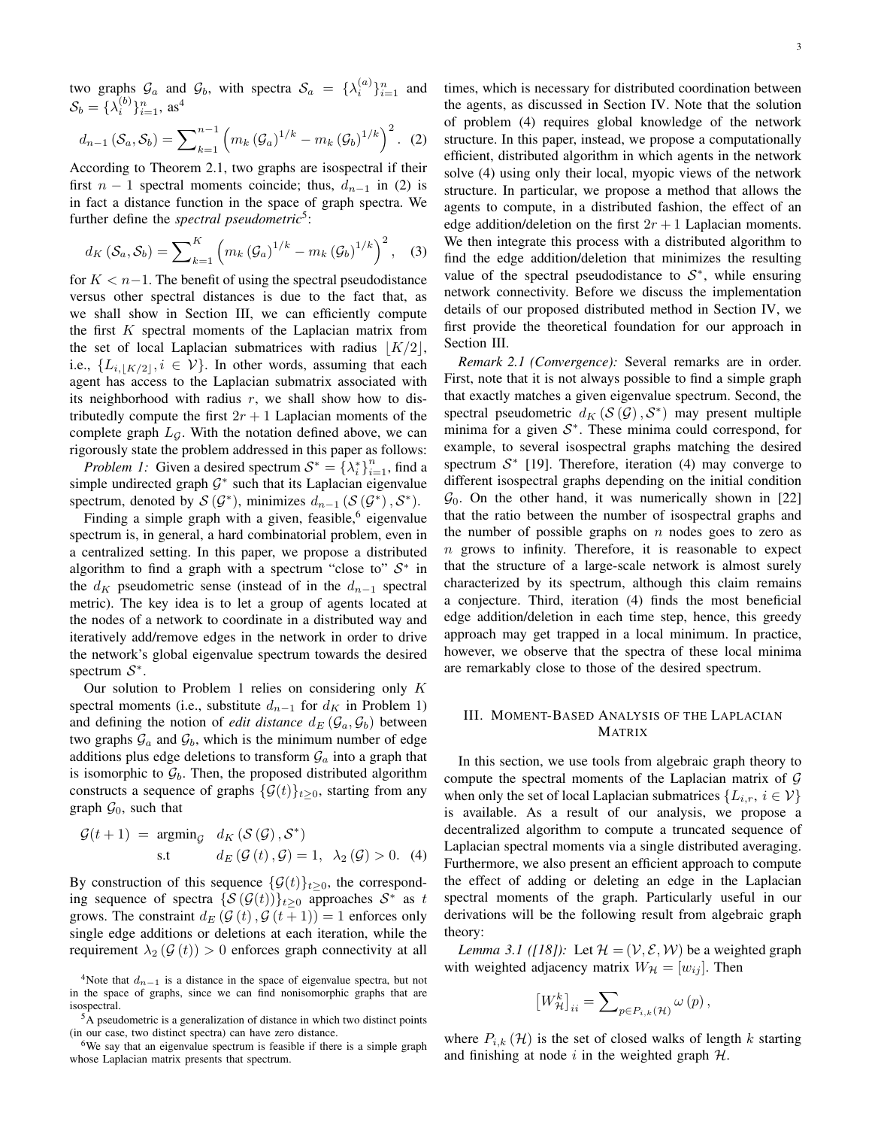two graphs  $\mathcal{G}_a$  and  $\mathcal{G}_b$ , with spectra  $\mathcal{S}_a = {\lambda_i^{(a)}}_{i=1}^n$  and  $\mathcal{S}_b = {\lambda_i^{(b)}}_{i=1}^n$ , as<sup>4</sup>

$$
d_{n-1}(\mathcal{S}_a, \mathcal{S}_b) = \sum_{k=1}^{n-1} \left( m_k (\mathcal{G}_a)^{1/k} - m_k (\mathcal{G}_b)^{1/k} \right)^2.
$$
 (2)

According to Theorem 2.1, two graphs are isospectral if their first  $n - 1$  spectral moments coincide; thus,  $d_{n-1}$  in (2) is in fact a distance function in the space of graph spectra. We further define the *spectral pseudometric*<sup>5</sup>:

$$
d_{K}(\mathcal{S}_{a}, \mathcal{S}_{b}) = \sum_{k=1}^{K} (m_{k} (\mathcal{G}_{a})^{1/k} - m_{k} (\mathcal{G}_{b})^{1/k})^{2}, \quad (3)
$$

for  $K < n-1$ . The benefit of using the spectral pseudodistance versus other spectral distances is due to the fact that, as we shall show in Section III, we can efficiently compute the first  $K$  spectral moments of the Laplacian matrix from the set of local Laplacian submatrices with radius  $|K/2|$ , i.e.,  $\{L_{i,|K/2|}, i \in V\}$ . In other words, assuming that each agent has access to the Laplacian submatrix associated with its neighborhood with radius  $r$ , we shall show how to distributedly compute the first  $2r + 1$  Laplacian moments of the complete graph  $L_g$ . With the notation defined above, we can rigorously state the problem addressed in this paper as follows:

*Problem 1:* Given a desired spectrum  $S^* = {\lambda_i^*}_{i=1}^n$ , find a simple undirected graph  $G^*$  such that its Laplacian eigenvalue spectrum, denoted by  $S(\mathcal{G}^*)$ , minimizes  $d_{n-1}(\mathcal{S}(\mathcal{G}^*) , \mathcal{S}^*)$ .

Finding a simple graph with a given, feasible,<sup>6</sup> eigenvalue spectrum is, in general, a hard combinatorial problem, even in a centralized setting. In this paper, we propose a distributed algorithm to find a graph with a spectrum "close to"  $S^*$  in the  $d_K$  pseudometric sense (instead of in the  $d_{n-1}$  spectral metric). The key idea is to let a group of agents located at the nodes of a network to coordinate in a distributed way and iteratively add/remove edges in the network in order to drive the network's global eigenvalue spectrum towards the desired spectrum  $S^*$ .

Our solution to Problem 1 relies on considering only  $K$ spectral moments (i.e., substitute  $d_{n-1}$  for  $d_K$  in Problem 1) and defining the notion of *edit distance*  $d_E(\mathcal{G}_a, \mathcal{G}_b)$  between two graphs  $\mathcal{G}_a$  and  $\mathcal{G}_b$ , which is the minimum number of edge additions plus edge deletions to transform  $\mathcal{G}_a$  into a graph that is isomorphic to  $\mathcal{G}_b$ . Then, the proposed distributed algorithm constructs a sequence of graphs  $\{\mathcal{G}(t)\}_{t\geq0}$ , starting from any graph  $\mathcal{G}_0$ , such that

$$
\mathcal{G}(t+1) = \underset{\text{s.t}}{\text{argmin}_{\mathcal{G}}} d_K(\mathcal{S}(\mathcal{G}), \mathcal{S}^*)
$$
  
s.t  $d_E(\mathcal{G}(t), \mathcal{G}) = 1, \lambda_2(\mathcal{G}) > 0.$  (4)

By construction of this sequence  $\{\mathcal{G}(t)\}_{t\geq 0}$ , the corresponding sequence of spectra  $\{S(\mathcal{G}(t))\}_{t\geq 0}$  approaches  $\mathcal{S}^*$  as t grows. The constraint  $d_E(\mathcal{G}(t), \mathcal{G}(t+1)) = 1$  enforces only single edge additions or deletions at each iteration, while the requirement  $\lambda_2$  (G(t)) > 0 enforces graph connectivity at all

 $6W$ e say that an eigenvalue spectrum is feasible if there is a simple graph whose Laplacian matrix presents that spectrum.

times, which is necessary for distributed coordination between the agents, as discussed in Section IV. Note that the solution of problem (4) requires global knowledge of the network structure. In this paper, instead, we propose a computationally efficient, distributed algorithm in which agents in the network solve (4) using only their local, myopic views of the network structure. In particular, we propose a method that allows the agents to compute, in a distributed fashion, the effect of an edge addition/deletion on the first  $2r + 1$  Laplacian moments. We then integrate this process with a distributed algorithm to find the edge addition/deletion that minimizes the resulting value of the spectral pseudodistance to  $S^*$ , while ensuring network connectivity. Before we discuss the implementation details of our proposed distributed method in Section IV, we first provide the theoretical foundation for our approach in Section III.

*Remark 2.1 (Convergence):* Several remarks are in order. First, note that it is not always possible to find a simple graph that exactly matches a given eigenvalue spectrum. Second, the spectral pseudometric  $d_K(S(\mathcal{G}), \mathcal{S}^*)$  may present multiple minima for a given  $S^*$ . These minima could correspond, for example, to several isospectral graphs matching the desired spectrum  $S^*$  [19]. Therefore, iteration (4) may converge to different isospectral graphs depending on the initial condition  $\mathcal{G}_0$ . On the other hand, it was numerically shown in [22] that the ratio between the number of isospectral graphs and the number of possible graphs on  $n$  nodes goes to zero as  $n$  grows to infinity. Therefore, it is reasonable to expect that the structure of a large-scale network is almost surely characterized by its spectrum, although this claim remains a conjecture. Third, iteration (4) finds the most beneficial edge addition/deletion in each time step, hence, this greedy approach may get trapped in a local minimum. In practice, however, we observe that the spectra of these local minima are remarkably close to those of the desired spectrum.

# III. MOMENT-BASED ANALYSIS OF THE LAPLACIAN **MATRIX**

In this section, we use tools from algebraic graph theory to compute the spectral moments of the Laplacian matrix of  $G$ when only the set of local Laplacian submatrices  $\{L_{i,r}, i \in \mathcal{V}\}\$ is available. As a result of our analysis, we propose a decentralized algorithm to compute a truncated sequence of Laplacian spectral moments via a single distributed averaging. Furthermore, we also present an efficient approach to compute the effect of adding or deleting an edge in the Laplacian spectral moments of the graph. Particularly useful in our derivations will be the following result from algebraic graph theory:

*Lemma 3.1 ([18]):* Let  $\mathcal{H} = (\mathcal{V}, \mathcal{E}, \mathcal{W})$  be a weighted graph with weighted adjacency matrix  $W_{\mathcal{H}} = [w_{ij}]$ . Then

$$
\left[W_{\mathcal{H}}^{k}\right]_{ii}=\sum\nolimits_{p\in P_{i,k}(\mathcal{H})}\omega\left(p\right),
$$

where  $P_{i,k}(\mathcal{H})$  is the set of closed walks of length k starting and finishing at node  $i$  in the weighted graph  $H$ .

<sup>&</sup>lt;sup>4</sup>Note that  $d_{n-1}$  is a distance in the space of eigenvalue spectra, but not in the space of graphs, since we can find nonisomorphic graphs that are isospectral.

 ${}^{5}A$  pseudometric is a generalization of distance in which two distinct points (in our case, two distinct spectra) can have zero distance.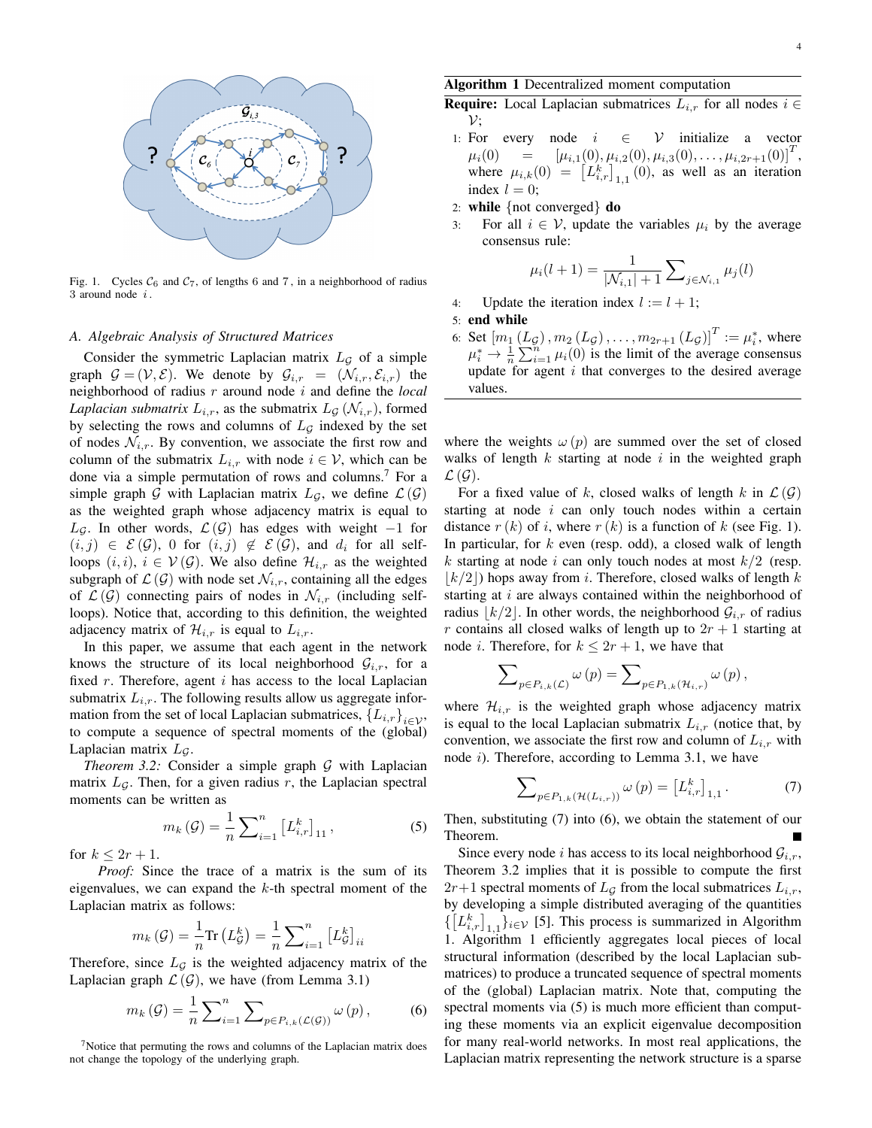

Fig. 1. Cycles  $C_6$  and  $C_7$ , of lengths 6 and 7, in a neighborhood of radius 3 around node i.

### *A. Algebraic Analysis of Structured Matrices*

Consider the symmetric Laplacian matrix  $L_{\mathcal{G}}$  of a simple graph  $G = (\mathcal{V}, \mathcal{E})$ . We denote by  $\mathcal{G}_{i,r} = (\mathcal{N}_{i,r}, \mathcal{E}_{i,r})$  the neighborhood of radius r around node i and define the *local Laplacian submatrix*  $L_{i,r}$ , as the submatrix  $L_G(\mathcal{N}_{i,r})$ , formed by selecting the rows and columns of  $L<sub>G</sub>$  indexed by the set of nodes  $\mathcal{N}_{i,r}$ . By convention, we associate the first row and column of the submatrix  $L_{i,r}$  with node  $i \in V$ , which can be done via a simple permutation of rows and columns.<sup>7</sup> For a simple graph G with Laplacian matrix  $L_{\mathcal{G}}$ , we define  $\mathcal{L}(\mathcal{G})$ as the weighted graph whose adjacency matrix is equal to  $L_{\mathcal{G}}$ . In other words,  $\mathcal{L}(\mathcal{G})$  has edges with weight −1 for  $(i, j) \in \mathcal{E}(\mathcal{G})$ , 0 for  $(i, j) \notin \mathcal{E}(\mathcal{G})$ , and  $d_i$  for all selfloops  $(i, i)$ ,  $i \in V(G)$ . We also define  $\mathcal{H}_{i,r}$  as the weighted subgraph of  $\mathcal{L}(\mathcal{G})$  with node set  $\mathcal{N}_{i,r}$ , containing all the edges of  $\mathcal{L}(\mathcal{G})$  connecting pairs of nodes in  $\mathcal{N}_{i,r}$  (including selfloops). Notice that, according to this definition, the weighted adjacency matrix of  $\mathcal{H}_{i,r}$  is equal to  $L_{i,r}$ .

In this paper, we assume that each agent in the network knows the structure of its local neighborhood  $\mathcal{G}_{i,r}$ , for a fixed  $r$ . Therefore, agent  $i$  has access to the local Laplacian submatrix  $L_{i,r}$ . The following results allow us aggregate information from the set of local Laplacian submatrices,  $\{L_{i,r}\}_{i\in\mathcal{V}}$ , to compute a sequence of spectral moments of the (global) Laplacian matrix  $L_g$ .

*Theorem 3.2:* Consider a simple graph  $G$  with Laplacian matrix  $L_g$ . Then, for a given radius r, the Laplacian spectral moments can be written as

$$
m_k(\mathcal{G}) = \frac{1}{n} \sum_{i=1}^{n} \left[ L_{i,r}^k \right]_{11},
$$
 (5)

for  $k \leq 2r + 1$ .

*Proof:* Since the trace of a matrix is the sum of its eigenvalues, we can expand the  $k$ -th spectral moment of the Laplacian matrix as follows:

$$
m_k(\mathcal{G}) = \frac{1}{n} \text{Tr}\left(L_{\mathcal{G}}^k\right) = \frac{1}{n} \sum_{i=1}^n \left[L_{\mathcal{G}}^k\right]_{ii}
$$

Therefore, since  $L_{\mathcal{G}}$  is the weighted adjacency matrix of the Laplacian graph  $\mathcal{L}(\mathcal{G})$ , we have (from Lemma 3.1)

$$
m_k(\mathcal{G}) = \frac{1}{n} \sum_{i=1}^n \sum_{p \in P_{i,k}(\mathcal{L}(\mathcal{G}))} \omega(p), \qquad (6)
$$

 $<sup>7</sup>$ Notice that permuting the rows and columns of the Laplacian matrix does</sup> not change the topology of the underlying graph.

# Algorithm 1 Decentralized moment computation

- **Require:** Local Laplacian submatrices  $L_{i,r}$  for all nodes  $i \in$  $\mathcal{V}$ ;
- 1: For every node  $i \in \mathcal{V}$  initialize a vector  $\mu_i(0) = [\mu_{i,1}(0), \mu_{i,2}(0), \mu_{i,3}(0), \ldots, \mu_{i,2r+1}(0)]^T,$ where  $\mu_{i,k}(0) = \left[ L_{i,r}^k \right]_{1,1}(0)$ , as well as an iteration index  $l = 0$ ;
- 2: while {not converged} do
- 3: For all  $i \in V$ , update the variables  $\mu_i$  by the average consensus rule:

$$
\mu_i(l+1) = \frac{1}{|\mathcal{N}_{i,1}|+1} \sum\nolimits_{j \in \mathcal{N}_{i,1}} \mu_j(l)
$$

4: Update the iteration index  $l := l + 1$ ;

5: end while

6: Set  $\left[m_1(L_{\mathcal{G}}),m_2(L_{\mathcal{G}}),\ldots,m_{2r+1}(L_{\mathcal{G}})\right]^T:=\mu_i^*$ , where  $\mu_i^* \rightarrow \frac{1}{n} \sum_{i=1}^n \mu_i(0)$  is the limit of the average consensus update for agent  $i$  that converges to the desired average values.

where the weights  $\omega(p)$  are summed over the set of closed walks of length  $k$  starting at node  $i$  in the weighted graph  $\mathcal{L}(\mathcal{G})$ .

For a fixed value of k, closed walks of length k in  $\mathcal{L}(\mathcal{G})$ starting at node  $i$  can only touch nodes within a certain distance  $r(k)$  of i, where  $r(k)$  is a function of k (see Fig. 1). In particular, for  $k$  even (resp. odd), a closed walk of length k starting at node i can only touch nodes at most  $k/2$  (resp.  $\lfloor k/2 \rfloor$ ) hops away from i. Therefore, closed walks of length k starting at  $i$  are always contained within the neighborhood of radius  $\lfloor k/2 \rfloor$ . In other words, the neighborhood  $\mathcal{G}_{i,r}$  of radius r contains all closed walks of length up to  $2r + 1$  starting at node *i*. Therefore, for  $k \leq 2r + 1$ , we have that

$$
\sum\nolimits_{p\in P_{i,k}(\mathcal{L})}\omega \left( p\right) =\sum\nolimits_{p\in P_{1,k}(\mathcal{H}_{i,r})}\omega \left( p\right) ,
$$

where  $\mathcal{H}_{i,r}$  is the weighted graph whose adjacency matrix is equal to the local Laplacian submatrix  $L_{i,r}$  (notice that, by convention, we associate the first row and column of  $L_{i,r}$  with node i). Therefore, according to Lemma 3.1, we have

$$
\sum_{p \in P_{1,k}(\mathcal{H}(L_{i,r}))} \omega(p) = [L_{i,r}^k]_{1,1}.
$$
 (7)

Then, substituting (7) into (6), we obtain the statement of our Theorem.

Since every node i has access to its local neighborhood  $\mathcal{G}_{i,r}$ , Theorem 3.2 implies that it is possible to compute the first  $2r+1$  spectral moments of  $L_{\mathcal{G}}$  from the local submatrices  $L_{i,r}$ , by developing a simple distributed averaging of the quantities  $\left\{ \left[ L_{i,r}^{k} \right]_{1,1} \right\}$ <sub>i</sub> $\in$  [5]. This process is summarized in Algorithm 1. Algorithm 1 efficiently aggregates local pieces of local structural information (described by the local Laplacian submatrices) to produce a truncated sequence of spectral moments of the (global) Laplacian matrix. Note that, computing the spectral moments via  $(5)$  is much more efficient than computing these moments via an explicit eigenvalue decomposition for many real-world networks. In most real applications, the Laplacian matrix representing the network structure is a sparse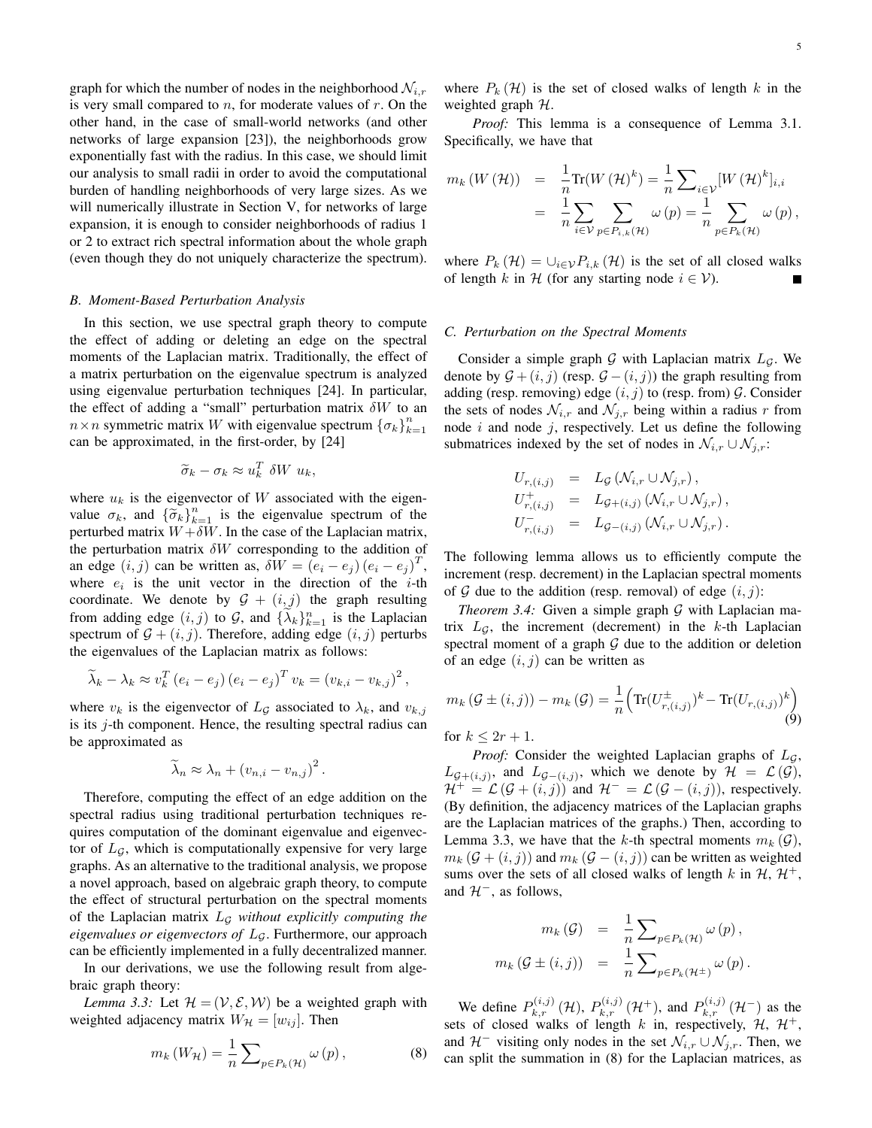graph for which the number of nodes in the neighborhood  $\mathcal{N}_{i,r}$ is very small compared to  $n$ , for moderate values of  $r$ . On the other hand, in the case of small-world networks (and other networks of large expansion [23]), the neighborhoods grow exponentially fast with the radius. In this case, we should limit our analysis to small radii in order to avoid the computational burden of handling neighborhoods of very large sizes. As we will numerically illustrate in Section V, for networks of large expansion, it is enough to consider neighborhoods of radius 1 or 2 to extract rich spectral information about the whole graph (even though they do not uniquely characterize the spectrum).

#### *B. Moment-Based Perturbation Analysis*

In this section, we use spectral graph theory to compute the effect of adding or deleting an edge on the spectral moments of the Laplacian matrix. Traditionally, the effect of a matrix perturbation on the eigenvalue spectrum is analyzed using eigenvalue perturbation techniques [24]. In particular, the effect of adding a "small" perturbation matrix  $\delta W$  to an  $n \times n$  symmetric matrix W with eigenvalue spectrum  $\{\sigma_k\}_{k=1}^n$ can be approximated, in the first-order, by [24]

$$
\widetilde{\sigma}_k - \sigma_k \approx u_k^T \, \delta W \, u_k,
$$

where  $u_k$  is the eigenvector of W associated with the eigenvalue  $\sigma_k$ , and  $\{\widetilde{\sigma}_k\}_{k=1}^n$  is the eigenvalue spectrum of the parturbed matrix  $W + \delta W$ . In the case of the Laplacian matrix perturbed matrix  $W + \delta W$ . In the case of the Laplacian matrix, the perturbation matrix  $\delta W$  corresponding to the addition of an edge  $(i, j)$  can be written as,  $\delta W = (e_i - e_j) (e_i - e_j)^T$ , where  $e_i$  is the unit vector in the direction of the *i*-th coordinate. We denote by  $G + (i, j)$  the graph resulting from adding edge  $(i, j)$  to  $\mathcal G$ , and  $\{\lambda_k\}_{k=1}^n$  is the Laplacian spectrum of  $G + (i, j)$ . Therefore, adding edge  $(i, j)$  perturbs the eigenvalues of the Laplacian matrix as follows:

$$
\widetilde{\lambda}_k - \lambda_k \approx v_k^T (e_i - e_j) (e_i - e_j)^T v_k = (v_{k,i} - v_{k,j})^2,
$$

where  $v_k$  is the eigenvector of  $L_{\mathcal{G}}$  associated to  $\lambda_k$ , and  $v_{k,j}$ is its  $j$ -th component. Hence, the resulting spectral radius can be approximated as

$$
\widetilde{\lambda}_n \approx \lambda_n + (v_{n,i} - v_{n,j})^2.
$$

Therefore, computing the effect of an edge addition on the spectral radius using traditional perturbation techniques requires computation of the dominant eigenvalue and eigenvector of  $L_G$ , which is computationally expensive for very large graphs. As an alternative to the traditional analysis, we propose a novel approach, based on algebraic graph theory, to compute the effect of structural perturbation on the spectral moments of the Laplacian matrix L<sup>G</sup> *without explicitly computing the eigenvalues or eigenvectors of* LG. Furthermore, our approach can be efficiently implemented in a fully decentralized manner.

In our derivations, we use the following result from algebraic graph theory:

*Lemma 3.3:* Let  $\mathcal{H} = (\mathcal{V}, \mathcal{E}, \mathcal{W})$  be a weighted graph with weighted adjacency matrix  $W_{\mathcal{H}} = [w_{ij}]$ . Then

$$
m_k(W_{\mathcal{H}}) = \frac{1}{n} \sum_{p \in P_k(\mathcal{H})} \omega(p), \qquad (8)
$$

where  $P_k(\mathcal{H})$  is the set of closed walks of length k in the weighted graph  $H$ .

*Proof:* This lemma is a consequence of Lemma 3.1. Specifically, we have that

$$
m_k(W(\mathcal{H})) = \frac{1}{n} \text{Tr}(W(\mathcal{H})^k) = \frac{1}{n} \sum_{i \in \mathcal{V}} [W(\mathcal{H})^k]_{i,i} = \frac{1}{n} \sum_{i \in \mathcal{V}} \sum_{p \in P_{i,k}(\mathcal{H})} \omega(p) = \frac{1}{n} \sum_{p \in P_k(\mathcal{H})} \omega(p),
$$

where  $P_k(\mathcal{H}) = \bigcup_{i \in \mathcal{V}} P_{i,k}(\mathcal{H})$  is the set of all closed walks of length k in H (for any starting node  $i \in V$ ).

#### *C. Perturbation on the Spectral Moments*

Consider a simple graph  $G$  with Laplacian matrix  $L_G$ . We denote by  $G + (i, j)$  (resp.  $G - (i, j)$ ) the graph resulting from adding (resp. removing) edge  $(i, j)$  to (resp. from)  $\mathcal G$ . Consider the sets of nodes  $\mathcal{N}_{i,r}$  and  $\mathcal{N}_{j,r}$  being within a radius r from node  $i$  and node  $j$ , respectively. Let us define the following submatrices indexed by the set of nodes in  $\mathcal{N}_{i,r} \cup \mathcal{N}_{j,r}$ :

$$
U_{r,(i,j)} = L_{\mathcal{G}}(\mathcal{N}_{i,r} \cup \mathcal{N}_{j,r}),
$$
  
\n
$$
U_{r,(i,j)}^{+} = L_{\mathcal{G}+(i,j)}(\mathcal{N}_{i,r} \cup \mathcal{N}_{j,r}),
$$
  
\n
$$
U_{r,(i,j)}^{-} = L_{\mathcal{G}-(i,j)}(\mathcal{N}_{i,r} \cup \mathcal{N}_{j,r}).
$$

The following lemma allows us to efficiently compute the increment (resp. decrement) in the Laplacian spectral moments of G due to the addition (resp. removal) of edge  $(i, j)$ :

*Theorem 3.4:* Given a simple graph  $G$  with Laplacian matrix  $L_{\mathcal{G}}$ , the increment (decrement) in the k-th Laplacian spectral moment of a graph  $G$  due to the addition or deletion of an edge  $(i, j)$  can be written as

$$
m_k(\mathcal{G} \pm (i,j)) - m_k(\mathcal{G}) = \frac{1}{n} \Big( \text{Tr}(U_{r,(i,j)}^{\pm})^k - \text{Tr}(U_{r,(i,j)})^k \Big) \tag{9}
$$

for  $k \leq 2r + 1$ .

*Proof:* Consider the weighted Laplacian graphs of  $L_G$ ,  $L_{\mathcal{G}+(i,j)}$ , and  $L_{\mathcal{G}-(i,j)}$ , which we denote by  $\mathcal{H} = \mathcal{L}(\mathcal{G})$ ,  $\mathcal{H}^+ = \mathcal{L}(\mathcal{G} + (i, j))$  and  $\mathcal{H}^- = \mathcal{L}(\mathcal{G} - (i, j))$ , respectively. (By definition, the adjacency matrices of the Laplacian graphs are the Laplacian matrices of the graphs.) Then, according to Lemma 3.3, we have that the k-th spectral moments  $m_k(\mathcal{G})$ ,  $m_k$  ( $\mathcal{G} + (i, j)$ ) and  $m_k$  ( $\mathcal{G} - (i, j)$ ) can be written as weighted sums over the sets of all closed walks of length k in  $H, H^+$ , and  $H^-$ , as follows,

$$
m_k(\mathcal{G}) = \frac{1}{n} \sum_{p \in P_k(\mathcal{H})} \omega(p),
$$
  

$$
m_k(\mathcal{G} \pm (i,j)) = \frac{1}{n} \sum_{p \in P_k(\mathcal{H}^{\pm})} \omega(p).
$$

We define  $P_{k,r}^{(i,j)}(\mathcal{H})$ ,  $P_{k,r}^{(i,j)}(\mathcal{H}^+)$ , and  $P_{k,r}^{(i,j)}(\mathcal{H}^-)$  as the sets of closed walks of length k in, respectively,  $H$ ,  $H^+$ , and  $\mathcal{H}^-$  visiting only nodes in the set  $\mathcal{N}_{i,r} \cup \mathcal{N}_{i,r}$ . Then, we can split the summation in (8) for the Laplacian matrices, as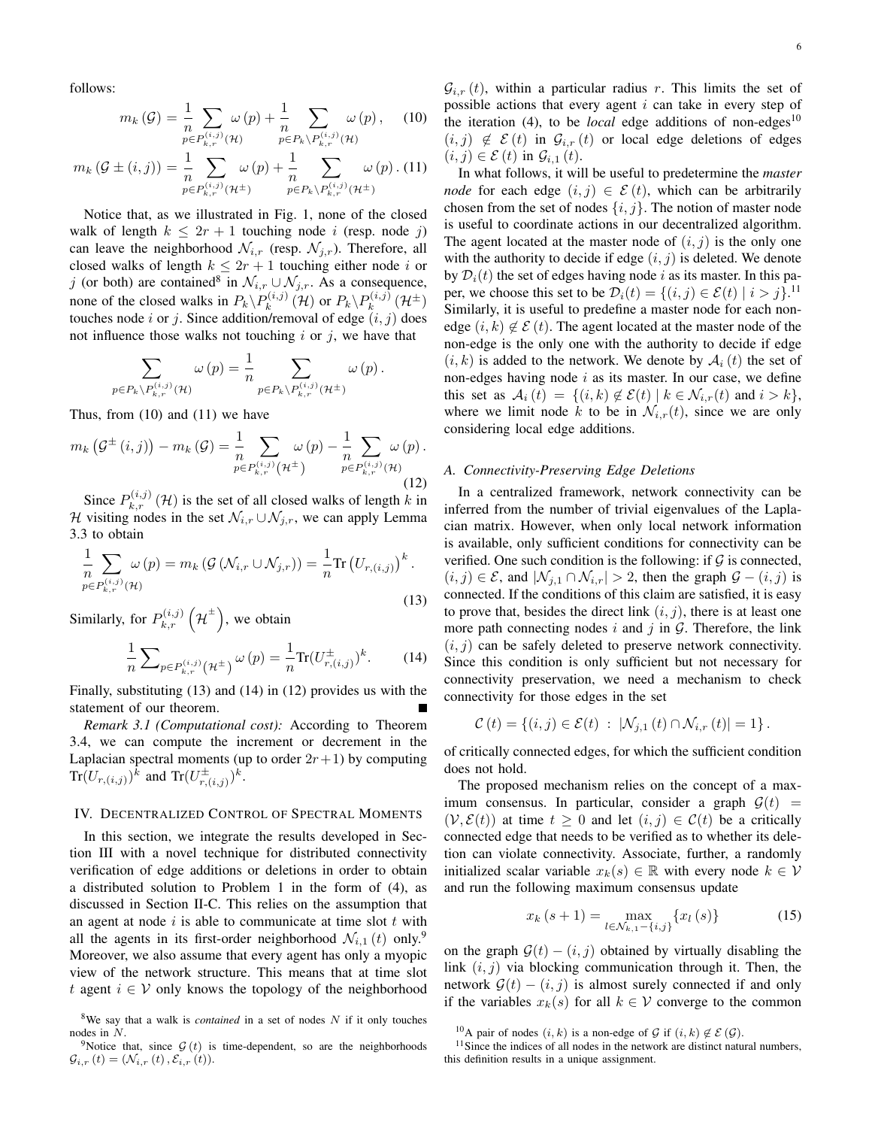follows:

$$
m_k(\mathcal{G}) = \frac{1}{n} \sum_{p \in P_{k,r}^{(i,j)}(\mathcal{H})} \omega(p) + \frac{1}{n} \sum_{p \in P_k \backslash P_{k,r}^{(i,j)}(\mathcal{H})} \omega(p), \quad (10)
$$

$$
m_k(\mathcal{G} \pm (i,j)) = \frac{1}{n} \sum_{p \in P_{k,r}^{(i,j)}(\mathcal{H}^{\pm})} \omega(p) + \frac{1}{n} \sum_{p \in P_k \setminus P_{k,r}^{(i,j)}(\mathcal{H}^{\pm})} \omega(p) \tag{11}
$$

Notice that, as we illustrated in Fig. 1, none of the closed walk of length  $k \leq 2r + 1$  touching node i (resp. node j) can leave the neighborhood  $\mathcal{N}_{i,r}$  (resp.  $\mathcal{N}_{j,r}$ ). Therefore, all closed walks of length  $k \leq 2r + 1$  touching either node i or j (or both) are contained<sup>8</sup> in  $\mathcal{N}_{i,r} \cup \mathcal{N}_{j,r}$ . As a consequence, none of the closed walks in  $P_k \backslash P_k^{(i,j)}$  $P_k^{(i,j)}(\mathcal{H})$  or  $P_k\backslash P_k^{(i,j)}$  $\mathcal{H}^{(i,j)}_k\left(\mathcal{H}^\pm\right)$ touches node i or j. Since addition/removal of edge  $(i, j)$  does not influence those walks not touching  $i$  or  $j$ , we have that

$$
\sum_{\substack{P_k \backslash P_{k,r}^{(i,j)}(\mathcal{H})}} \omega(p) = \frac{1}{n} \sum_{p \in P_k \backslash P_{k,r}^{(i,j)}(\mathcal{H}^{\pm})} \omega(p).
$$

Thus, from  $(10)$  and  $(11)$  we have

 $p<sub>k</sub>$ 

$$
m_k(\mathcal{G}^{\pm}(i,j)) - m_k(\mathcal{G}) = \frac{1}{n} \sum_{p \in P_{k,r}^{(i,j)}(\mathcal{H}^{\pm})} \omega(p) - \frac{1}{n} \sum_{p \in P_{k,r}^{(i,j)}(\mathcal{H})} \omega(p).
$$
\n(12)

Since  $P_{k,r}^{(i,j)}(\mathcal{H})$  is the set of all closed walks of length k in H visiting nodes in the set  $\mathcal{N}_{i,r} \cup \mathcal{N}_{i,r}$ , we can apply Lemma 3.3 to obtain

$$
\frac{1}{n} \sum_{p \in P_{k,r}^{(i,j)}(\mathcal{H})} \omega(p) = m_k \left( \mathcal{G} \left( \mathcal{N}_{i,r} \cup \mathcal{N}_{j,r} \right) \right) = \frac{1}{n} \text{Tr} \left( U_{r,(i,j)} \right)^k.
$$
\n(13)

Similarly, for  $P_{k,r}^{(i,j)}\left(\mathcal{H}^{\pm}\right)$ , we obtain

$$
\frac{1}{n}\sum_{p \in P_{k,r}^{(i,j)}(\mathcal{H}^{\pm})} \omega(p) = \frac{1}{n} \text{Tr}(U_{r,(i,j)}^{\pm})^k.
$$
 (14)

Finally, substituting (13) and (14) in (12) provides us with the statement of our theorem.

*Remark 3.1 (Computational cost):* According to Theorem 3.4, we can compute the increment or decrement in the Laplacian spectral moments (up to order  $2r+1$ ) by computing  $\text{Tr}(U_{r,(i,j)})^{\bar{k}}$  and  $\text{Tr}(U_{r,(i,j)}^{\pm})^k$ .

## IV. DECENTRALIZED CONTROL OF SPECTRAL MOMENTS

In this section, we integrate the results developed in Section III with a novel technique for distributed connectivity verification of edge additions or deletions in order to obtain a distributed solution to Problem 1 in the form of (4), as discussed in Section II-C. This relies on the assumption that an agent at node  $i$  is able to communicate at time slot  $t$  with all the agents in its first-order neighborhood  $\mathcal{N}_{i,1}(t)$  only.<sup>9</sup> Moreover, we also assume that every agent has only a myopic view of the network structure. This means that at time slot t agent  $i \in V$  only knows the topology of the neighborhood

<sup>9</sup>Notice that, since  $G(t)$  is time-dependent, so are the neighborhoods  $G_{i,r}(t) = (\mathcal{N}_{i,r}(t), \mathcal{E}_{i,r}(t)).$ 

 $G_{i,r}(t)$ , within a particular radius r. This limits the set of possible actions that every agent  $i$  can take in every step of the iteration  $(4)$ , to be *local* edge additions of non-edges<sup>10</sup>  $(i, j) \notin \mathcal{E}(t)$  in  $\mathcal{G}_{i,r}(t)$  or local edge deletions of edges  $(i, j) \in \mathcal{E}(t)$  in  $\mathcal{G}_{i,1}(t)$ .

In what follows, it will be useful to predetermine the *master node* for each edge  $(i, j) \in \mathcal{E}(t)$ , which can be arbitrarily chosen from the set of nodes  $\{i, j\}$ . The notion of master node is useful to coordinate actions in our decentralized algorithm. The agent located at the master node of  $(i, j)$  is the only one with the authority to decide if edge  $(i, j)$  is deleted. We denote by  $\mathcal{D}_i(t)$  the set of edges having node i as its master. In this paper, we choose this set to be  $\mathcal{D}_i(t) = \{(i, j) \in \mathcal{E}(t) \mid i > j\}.$ <sup>11</sup> Similarly, it is useful to predefine a master node for each nonedge  $(i, k) \notin \mathcal{E}(t)$ . The agent located at the master node of the non-edge is the only one with the authority to decide if edge  $(i, k)$  is added to the network. We denote by  $A_i(t)$  the set of non-edges having node  $i$  as its master. In our case, we define this set as  $A_i(t) = \{(i,k) \notin \mathcal{E}(t) \mid k \in \mathcal{N}_{i,r}(t) \text{ and } i > k\},\$ where we limit node k to be in  $\mathcal{N}_{i,r}(t)$ , since we are only considering local edge additions.

## *A. Connectivity-Preserving Edge Deletions*

In a centralized framework, network connectivity can be inferred from the number of trivial eigenvalues of the Laplacian matrix. However, when only local network information is available, only sufficient conditions for connectivity can be verified. One such condition is the following: if  $G$  is connected,  $(i, j) \in \mathcal{E}$ , and  $|\mathcal{N}_{j,1} \cap \mathcal{N}_{i,r}| > 2$ , then the graph  $\mathcal{G} - (i, j)$  is connected. If the conditions of this claim are satisfied, it is easy to prove that, besides the direct link  $(i, j)$ , there is at least one more path connecting nodes i and j in  $G$ . Therefore, the link  $(i, j)$  can be safely deleted to preserve network connectivity. Since this condition is only sufficient but not necessary for connectivity preservation, we need a mechanism to check connectivity for those edges in the set

$$
\mathcal{C}(t) = \{(i,j) \in \mathcal{E}(t) : |\mathcal{N}_{j,1}(t) \cap \mathcal{N}_{i,r}(t)| = 1\}.
$$

of critically connected edges, for which the sufficient condition does not hold.

The proposed mechanism relies on the concept of a maximum consensus. In particular, consider a graph  $\mathcal{G}(t)$  =  $(V, \mathcal{E}(t))$  at time  $t \geq 0$  and let  $(i, j) \in \mathcal{C}(t)$  be a critically connected edge that needs to be verified as to whether its deletion can violate connectivity. Associate, further, a randomly initialized scalar variable  $x_k(s) \in \mathbb{R}$  with every node  $k \in \mathcal{V}$ and run the following maximum consensus update

$$
x_{k}(s+1) = \max_{l \in \mathcal{N}_{k,1} - \{i,j\}} \{x_{l}(s)\}
$$
 (15)

on the graph  $G(t) - (i, j)$  obtained by virtually disabling the link  $(i, j)$  via blocking communication through it. Then, the network  $G(t) - (i, j)$  is almost surely connected if and only if the variables  $x_k(s)$  for all  $k \in V$  converge to the common

<sup>&</sup>lt;sup>8</sup>We say that a walk is *contained* in a set of nodes  $N$  if it only touches nodes in N.

<sup>&</sup>lt;sup>10</sup>A pair of nodes  $(i, k)$  is a non-edge of G if  $(i, k) \notin \mathcal{E}(G)$ .

 $11$ Since the indices of all nodes in the network are distinct natural numbers, this definition results in a unique assignment.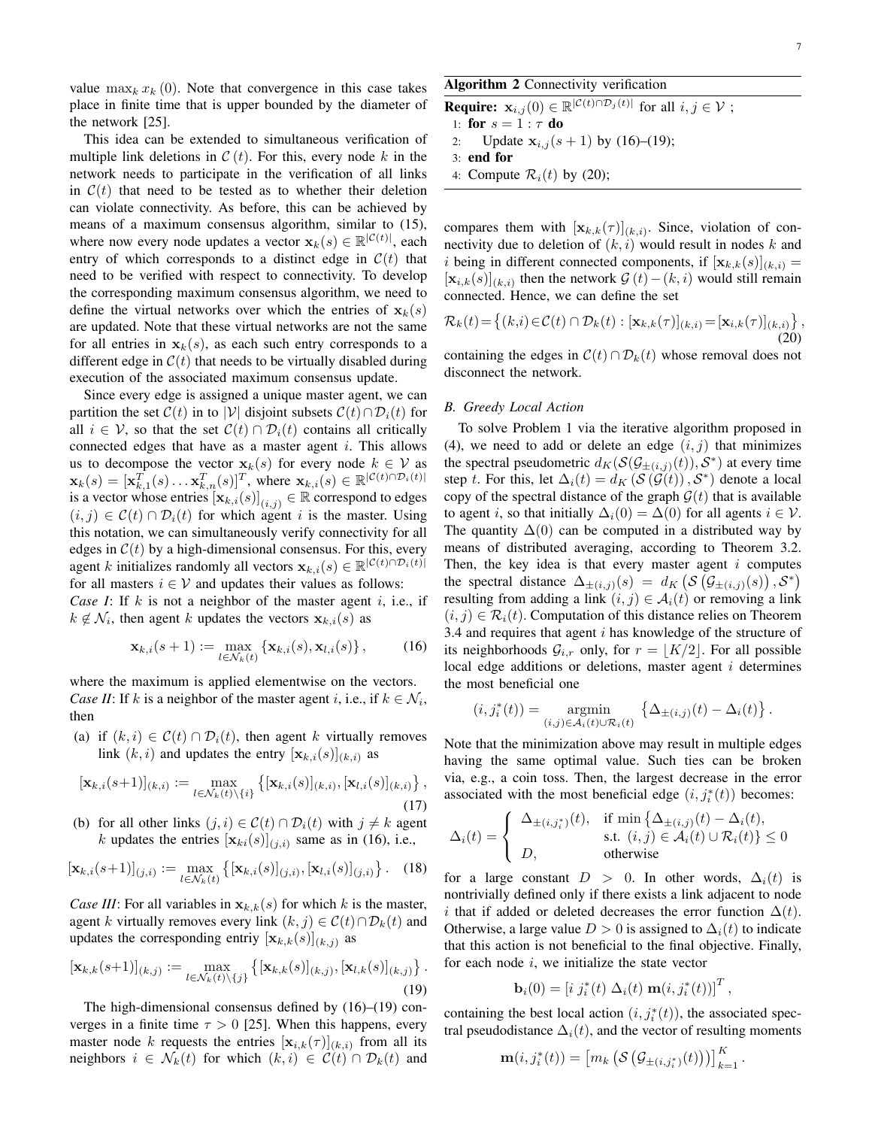value  $\max_k x_k (0)$ . Note that convergence in this case takes place in finite time that is upper bounded by the diameter of the network [25].

This idea can be extended to simultaneous verification of multiple link deletions in  $C(t)$ . For this, every node k in the network needs to participate in the verification of all links in  $C(t)$  that need to be tested as to whether their deletion can violate connectivity. As before, this can be achieved by means of a maximum consensus algorithm, similar to (15), where now every node updates a vector  $\mathbf{x}_k(s) \in \mathbb{R}^{|\mathcal{C}(t)|}$ , each entry of which corresponds to a distinct edge in  $C(t)$  that need to be verified with respect to connectivity. To develop the corresponding maximum consensus algorithm, we need to define the virtual networks over which the entries of  $x_k(s)$ are updated. Note that these virtual networks are not the same for all entries in  $x_k(s)$ , as each such entry corresponds to a different edge in  $C(t)$  that needs to be virtually disabled during execution of the associated maximum consensus update.

Since every edge is assigned a unique master agent, we can partition the set  $\mathcal{C}(t)$  in to |V| disjoint subsets  $\mathcal{C}(t) \cap \mathcal{D}_i(t)$  for all  $i \in V$ , so that the set  $\mathcal{C}(t) \cap \mathcal{D}_i(t)$  contains all critically connected edges that have as a master agent  $i$ . This allows us to decompose the vector  $x_k(s)$  for every node  $k \in V$  as  $\mathbf{x}_k(s) = [\mathbf{x}_{k,1}^T(s) \dots \mathbf{x}_{k,n}^T(s)]^T$ , where  $\mathbf{x}_{k,i}(s) \in \mathbb{R}^{|\mathcal{C}(t) \cap \mathcal{D}_i(t)|}$ is a vector whose entries  $\left[\mathbf{x}_{k,i}(s)\right]_{(i,j)} \in \mathbb{R}$  correspond to edges  $(i, j) \in \mathcal{C}(t) \cap \mathcal{D}_i(t)$  for which agent i is the master. Using this notation, we can simultaneously verify connectivity for all edges in  $\mathcal{C}(t)$  by a high-dimensional consensus. For this, every agent k initializes randomly all vectors  $\mathbf{x}_{k,i}(s) \in \mathbb{R}^{|\mathcal{C}(t) \cap \mathcal{D}_i(t)|}$ for all masters  $i \in V$  and updates their values as follows:

*Case I*: If  $k$  is not a neighbor of the master agent  $i$ , i.e., if  $k \notin \mathcal{N}_i$ , then agent k updates the vectors  $\mathbf{x}_{k,i}(s)$  as

$$
\mathbf{x}_{k,i}(s+1) := \max_{l \in \mathcal{N}_k(t)} \left\{ \mathbf{x}_{k,i}(s), \mathbf{x}_{l,i}(s) \right\},\tag{16}
$$

where the maximum is applied elementwise on the vectors. *Case II*: If k is a neighbor of the master agent i, i.e., if  $k \in \mathcal{N}_i$ , then

(a) if  $(k, i) \in \mathcal{C}(t) \cap \mathcal{D}_i(t)$ , then agent k virtually removes link  $(k, i)$  and updates the entry  $[\mathbf{x}_{k,i}(s)]_{(k,i)}$  as

$$
[\mathbf{x}_{k,i}(s+1)]_{(k,i)} := \max_{l \in \mathcal{N}_k(t) \setminus \{i\}} \{ [\mathbf{x}_{k,i}(s)]_{(k,i)}, [\mathbf{x}_{l,i}(s)]_{(k,i)} \},\tag{17}
$$

(b) for all other links  $(j, i) \in C(t) \cap \mathcal{D}_i(t)$  with  $j \neq k$  agent k updates the entries  $[\mathbf{x}_{ki}(s)]_{(j,i)}$  same as in (16), i.e.,

$$
[\mathbf{x}_{k,i}(s+1)]_{(j,i)} := \max_{l \in \mathcal{N}_k(t)} \{ [\mathbf{x}_{k,i}(s)]_{(j,i)}, [\mathbf{x}_{l,i}(s)]_{(j,i)} \}.
$$
 (18)

*Case III*: For all variables in  $x_{k,k}(s)$  for which k is the master, agent k virtually removes every link  $(k, j) \in C(t) \cap \mathcal{D}_k(t)$  and updates the corresponding entriy  $[\mathbf{x}_{k,k}(s)]_{(k,j)}$  as

$$
[\mathbf{x}_{k,k}(s+1)]_{(k,j)} := \max_{l \in \mathcal{N}_k(t) \setminus \{j\}} \left\{ [\mathbf{x}_{k,k}(s)]_{(k,j)}, [\mathbf{x}_{l,k}(s)]_{(k,j)} \right\}.
$$
\n(19)

The high-dimensional consensus defined by (16)–(19) converges in a finite time  $\tau > 0$  [25]. When this happens, every master node k requests the entries  $[\mathbf{x}_{i,k}(\tau)]_{(k,i)}$  from all its neighbors  $i \in \mathcal{N}_k(t)$  for which  $(k, i) \in \mathcal{C}(t) \cap \mathcal{D}_k(t)$  and

Algorithm 2 Connectivity verification

**Require:**  $\mathbf{x}_{i,j}(0) \in \mathbb{R}^{|\mathcal{C}(t) \cap \mathcal{D}_j(t)|}$  for all  $i, j \in \mathcal{V}$ ; 1: for  $s = 1 : \tau$  do 2: Update  $\mathbf{x}_{i,j}(s+1)$  by (16)–(19); 3: end for 4: Compute  $\mathcal{R}_i(t)$  by (20);

compares them with  $[\mathbf{x}_{k,k}(\tau)]_{(k,i)}$ . Since, violation of connectivity due to deletion of  $(k, i)$  would result in nodes k and i being in different connected components, if  $[\mathbf{x}_{k,k}(s)]_{(k,i)} =$  $[\mathbf{x}_{i,k}(s)]_{(k,i)}$  then the network  $\mathcal{G}(t) - (k,i)$  would still remain connected. Hence, we can define the set

$$
\mathcal{R}_k(t) = \left\{ (k,i) \in \mathcal{C}(t) \cap \mathcal{D}_k(t) : [\mathbf{x}_{k,k}(\tau)]_{(k,i)} = [\mathbf{x}_{i,k}(\tau)]_{(k,i)} \right\},\tag{20}
$$

containing the edges in  $C(t) \cap \mathcal{D}_k(t)$  whose removal does not disconnect the network.

# *B. Greedy Local Action*

To solve Problem 1 via the iterative algorithm proposed in (4), we need to add or delete an edge  $(i, j)$  that minimizes the spectral pseudometric  $d_K(S(\mathcal{G}_{\pm(i,j)}(t)), \mathcal{S}^*)$  at every time step t. For this, let  $\Delta_i(t) = d_K(\mathcal{S}(\mathcal{G}(t)), \mathcal{S}^*)$  denote a local copy of the spectral distance of the graph  $\mathcal{G}(t)$  that is available to agent i, so that initially  $\Delta_i(0) = \Delta(0)$  for all agents  $i \in \mathcal{V}$ . The quantity  $\Delta(0)$  can be computed in a distributed way by means of distributed averaging, according to Theorem 3.2. Then, the key idea is that every master agent  $i$  computes the spectral distance  $\Delta_{\pm(i,j)}(s) = d_K\left(\mathcal{S}\left(\mathcal{G}_{\pm(i,j)}(s)\right), \mathcal{S}^*\right)$ resulting from adding a link  $(i, j) \in A_i(t)$  or removing a link  $(i, j) \in \mathcal{R}_i(t)$ . Computation of this distance relies on Theorem 3.4 and requires that agent  $i$  has knowledge of the structure of its neighborhoods  $G_{i,r}$  only, for  $r = \lfloor K/2 \rfloor$ . For all possible local edge additions or deletions, master agent  $i$  determines the most beneficial one

$$
(i, j_i^*(t)) = \underset{(i,j)\in \mathcal{A}_i(t)\cup \mathcal{R}_i(t)}{\operatorname{argmin}} \left\{ \Delta_{\pm(i,j)}(t) - \Delta_i(t) \right\}.
$$

Note that the minimization above may result in multiple edges having the same optimal value. Such ties can be broken via, e.g., a coin toss. Then, the largest decrease in the error associated with the most beneficial edge  $(i, j_i^*(t))$  becomes:

$$
\Delta_i(t) = \begin{cases} \Delta_{\pm(i,j_i^*)}(t), & \text{if } \min\left\{\Delta_{\pm(i,j)}(t) - \Delta_i(t), \atop \text{s.t. } (i,j) \in \mathcal{A}_i(t) \cup \mathcal{R}_i(t)\right\} \le 0\\ D, & \text{otherwise} \end{cases}
$$

for a large constant  $D > 0$ . In other words,  $\Delta_i(t)$  is nontrivially defined only if there exists a link adjacent to node i that if added or deleted decreases the error function  $\Delta(t)$ . Otherwise, a large value  $D > 0$  is assigned to  $\Delta_i(t)$  to indicate that this action is not beneficial to the final objective. Finally, for each node  $i$ , we initialize the state vector

$$
\mathbf{b}_{i}(0) = [i \; j_{i}^{*}(t) \; \Delta_{i}(t) \; \mathbf{m}(i, j_{i}^{*}(t))]^{T},
$$

containing the best local action  $(i, j^*_{i}(t))$ , the associated spectral pseudodistance  $\Delta_i(t)$ , and the vector of resulting moments

$$
\mathbf{m}(i, j_i^*(t)) = [m_k \left( \mathcal{S} \left( \mathcal{G}_{\pm(i, j_i^*)}(t) \right) \right) \Big]_{k=1}^K.
$$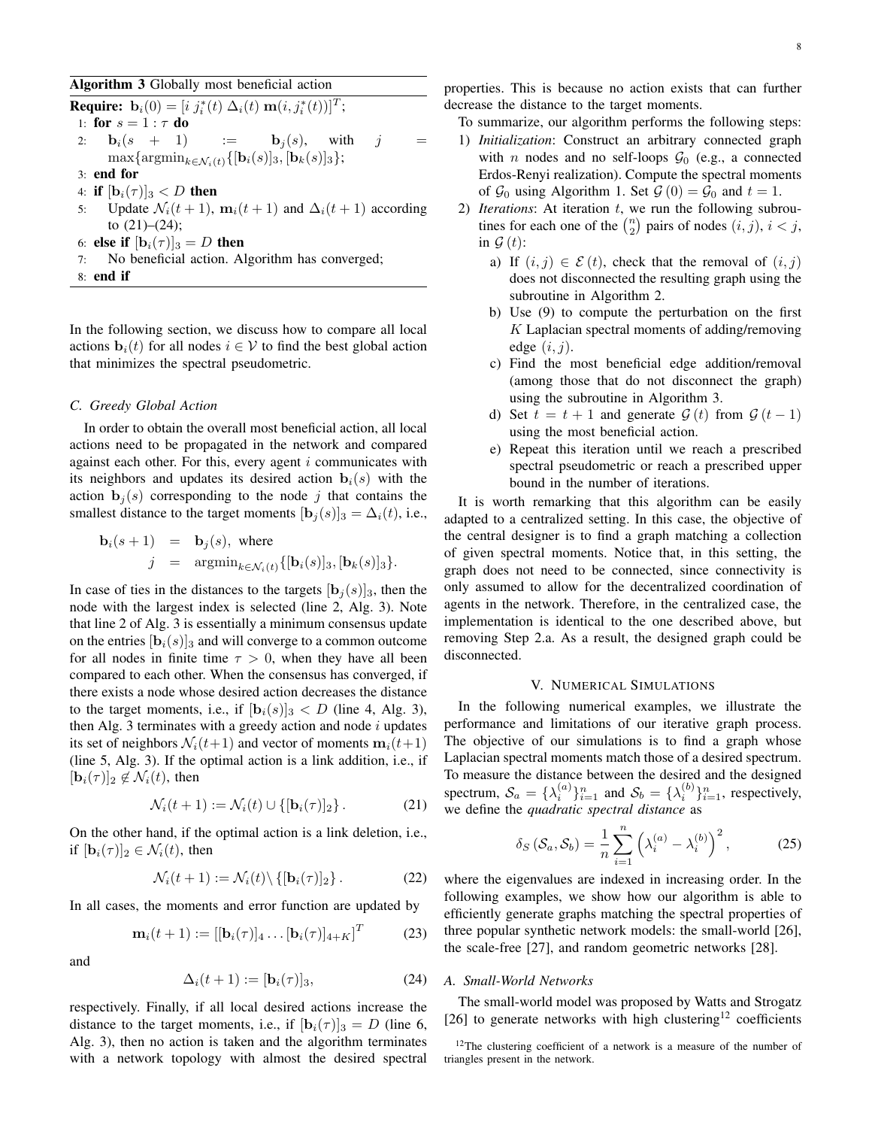**Require:**  $\mathbf{b}_i(0) = [i \; j_i^*(t) \; \Delta_i(t) \; \mathbf{m}(i, j_i^*(t))]^T;$ 1: for  $s = 1 : \tau$  do 2:  $\mathbf{b}_i(s + 1)$  :=  $\mathbf{b}_i(s)$ , with  $j =$  $\max\{\mathrm{argmin}_{k\in\mathcal{N}_i(t)}\{[\mathbf{b}_i(s)]_3,[\mathbf{b}_k(s)]_3\};\$ 3: end for 4: if  $[\mathbf{b}_i(\tau)]_3 < D$  then 5: Undate  $\mathcal{N}_i(t+1)$ ,  $\mathbf{m}_i(t+1)$  and  $\mathcal{N}_i(t+1)$  according

c) 
$$
\text{Update } \mathcal{N}_i(t+1), \text{ in } i(t+1) \text{ and } \Delta_i(t+1) \text{ action}
$$
  
to (21)–(24);

6: else if  $[\mathbf{b}_i(\tau)]_3 = D$  then

- 7: No beneficial action. Algorithm has converged;
- 8: end if

In the following section, we discuss how to compare all local actions  $\mathbf{b}_i(t)$  for all nodes  $i \in \mathcal{V}$  to find the best global action that minimizes the spectral pseudometric.

## *C. Greedy Global Action*

In order to obtain the overall most beneficial action, all local actions need to be propagated in the network and compared against each other. For this, every agent  $i$  communicates with its neighbors and updates its desired action  $\mathbf{b}_i(s)$  with the action  $\mathbf{b}_j(s)$  corresponding to the node j that contains the smallest distance to the target moments  $[\mathbf{b}_j(s)]_3 = \Delta_i(t)$ , i.e.,

$$
\mathbf{b}_i(s+1) = \mathbf{b}_j(s), \text{ where}
$$
  

$$
j = \operatorname{argmin}_{k \in \mathcal{N}_i(t)} \{ [\mathbf{b}_i(s)]_3, [\mathbf{b}_k(s)]_3 \}.
$$

In case of ties in the distances to the targets  $[b_j(s)]_3$ , then the node with the largest index is selected (line 2, Alg. 3). Note that line 2 of Alg. 3 is essentially a minimum consensus update on the entries  $[\mathbf{b}_i(s)]_3$  and will converge to a common outcome for all nodes in finite time  $\tau > 0$ , when they have all been compared to each other. When the consensus has converged, if there exists a node whose desired action decreases the distance to the target moments, i.e., if  $[\mathbf{b}_i(s)]_3 < D$  (line 4, Alg. 3), then Alg. 3 terminates with a greedy action and node  $i$  updates its set of neighbors  $\mathcal{N}_i(t+1)$  and vector of moments  $m_i(t+1)$ (line 5, Alg. 3). If the optimal action is a link addition, i.e., if  $[\mathbf{b}_i(\tau)]_2 \notin \mathcal{N}_i(t)$ , then

$$
\mathcal{N}_i(t+1) := \mathcal{N}_i(t) \cup \{ [\mathbf{b}_i(\tau)]_2 \}.
$$
 (21)

On the other hand, if the optimal action is a link deletion, i.e., if  $[\mathbf{b}_i(\tau)]_2 \in \mathcal{N}_i(t)$ , then

$$
\mathcal{N}_i(t+1) := \mathcal{N}_i(t) \setminus \{ [\mathbf{b}_i(\tau)]_2 \}.
$$
 (22)

In all cases, the moments and error function are updated by

$$
\mathbf{m}_i(t+1) := \left[ [\mathbf{b}_i(\tau)]_4 \dots [\mathbf{b}_i(\tau)]_{4+K} \right]^T \tag{23}
$$

and

$$
\Delta_i(t+1) := [\mathbf{b}_i(\tau)]_3,\tag{24}
$$

respectively. Finally, if all local desired actions increase the distance to the target moments, i.e., if  $[\mathbf{b}_i(\tau)]_3 = D$  (line 6, Alg. 3), then no action is taken and the algorithm terminates with a network topology with almost the desired spectral properties. This is because no action exists that can further decrease the distance to the target moments.

To summarize, our algorithm performs the following steps:

- 1) *Initialization*: Construct an arbitrary connected graph with *n* nodes and no self-loops  $\mathcal{G}_0$  (e.g., a connected Erdos-Renyi realization). Compute the spectral moments of  $\mathcal{G}_0$  using Algorithm 1. Set  $\mathcal{G}(0) = \mathcal{G}_0$  and  $t = 1$ .
- 2) *Iterations*: At iteration t, we run the following subroutines for each one of the  $\binom{n}{2}$  pairs of nodes  $(i, j), i < j$ , in  $\mathcal{G}(t)$ :
	- a) If  $(i, j) \in \mathcal{E}(t)$ , check that the removal of  $(i, j)$ does not disconnected the resulting graph using the subroutine in Algorithm 2.
	- b) Use (9) to compute the perturbation on the first K Laplacian spectral moments of adding/removing edge  $(i, j)$ .
	- c) Find the most beneficial edge addition/removal (among those that do not disconnect the graph) using the subroutine in Algorithm 3.
	- d) Set  $t = t + 1$  and generate  $\mathcal{G}(t)$  from  $\mathcal{G}(t-1)$ using the most beneficial action.
	- e) Repeat this iteration until we reach a prescribed spectral pseudometric or reach a prescribed upper bound in the number of iterations.

It is worth remarking that this algorithm can be easily adapted to a centralized setting. In this case, the objective of the central designer is to find a graph matching a collection of given spectral moments. Notice that, in this setting, the graph does not need to be connected, since connectivity is only assumed to allow for the decentralized coordination of agents in the network. Therefore, in the centralized case, the implementation is identical to the one described above, but removing Step 2.a. As a result, the designed graph could be disconnected.

#### V. NUMERICAL SIMULATIONS

In the following numerical examples, we illustrate the performance and limitations of our iterative graph process. The objective of our simulations is to find a graph whose Laplacian spectral moments match those of a desired spectrum. To measure the distance between the desired and the designed spectrum,  $S_a = {\lambda_i^{(a)}}_{i=1}^n$  and  $S_b = {\lambda_i^{(b)}}_{i=1}^n$ , respectively, we define the *quadratic spectral distance* as

$$
\delta_S\left(\mathcal{S}_a, \mathcal{S}_b\right) = \frac{1}{n} \sum_{i=1}^n \left(\lambda_i^{(a)} - \lambda_i^{(b)}\right)^2, \tag{25}
$$

where the eigenvalues are indexed in increasing order. In the following examples, we show how our algorithm is able to efficiently generate graphs matching the spectral properties of three popular synthetic network models: the small-world [26], the scale-free [27], and random geometric networks [28].

# *A. Small-World Networks*

The small-world model was proposed by Watts and Strogatz [26] to generate networks with high clustering<sup>12</sup> coefficients

 $12$ The clustering coefficient of a network is a measure of the number of triangles present in the network.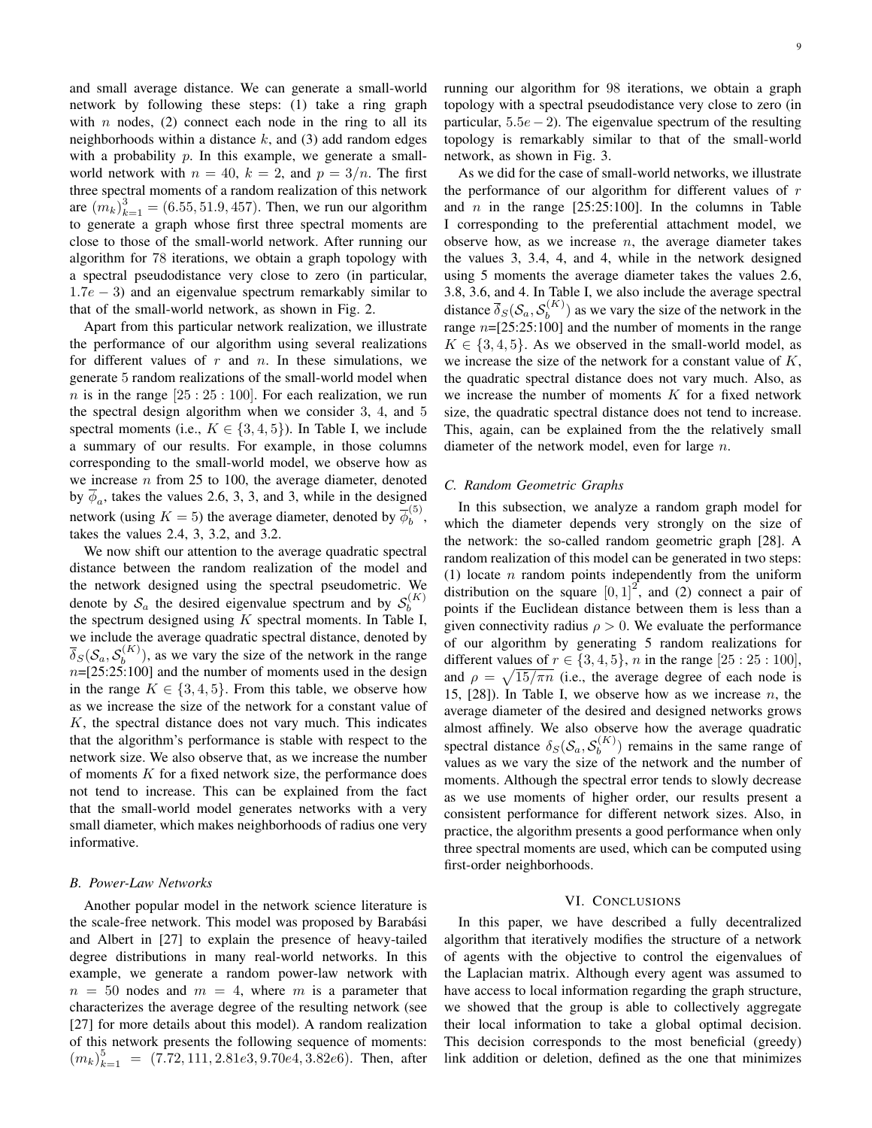and small average distance. We can generate a small-world network by following these steps: (1) take a ring graph with *n* nodes, (2) connect each node in the ring to all its neighborhoods within a distance  $k$ , and (3) add random edges with a probability  $p$ . In this example, we generate a smallworld network with  $n = 40$ ,  $k = 2$ , and  $p = 3/n$ . The first three spectral moments of a random realization of this network are  $(m_k)_{k=1}^3 = (6.55, 51.9, 457)$ . Then, we run our algorithm to generate a graph whose first three spectral moments are close to those of the small-world network. After running our algorithm for 78 iterations, we obtain a graph topology with a spectral pseudodistance very close to zero (in particular,  $1.7e - 3$ ) and an eigenvalue spectrum remarkably similar to that of the small-world network, as shown in Fig. 2.

Apart from this particular network realization, we illustrate the performance of our algorithm using several realizations for different values of  $r$  and  $n$ . In these simulations, we generate 5 random realizations of the small-world model when n is in the range  $[25:25:100]$ . For each realization, we run the spectral design algorithm when we consider 3, 4, and 5 spectral moments (i.e.,  $K \in \{3, 4, 5\}$ ). In Table I, we include a summary of our results. For example, in those columns corresponding to the small-world model, we observe how as we increase  $n$  from 25 to 100, the average diameter, denoted by  $\phi_a$ , takes the values 2.6, 3, 3, and 3, while in the designed network (using  $K = 5$ ) the average diameter, denoted by  $\overline{\phi}_b^{(5)}$  $\stackrel{(0)}{b}$ , takes the values 2.4, 3, 3.2, and 3.2.

We now shift our attention to the average quadratic spectral distance between the random realization of the model and the network designed using the spectral pseudometric. We denote by  $S_a$  the desired eigenvalue spectrum and by  $S_b^{(K)}$ the spectrum designed using K spectral moments. In Table I, we include the average quadratic spectral distance, denoted by  $\overline{\delta}_S(\mathcal{S}_a,\mathcal{S}_b^{(K)})$  $b<sub>b</sub><sup>(**A**)</sup>$ , as we vary the size of the network in the range  $n=[25:25:100]$  and the number of moments used in the design in the range  $K \in \{3, 4, 5\}$ . From this table, we observe how as we increase the size of the network for a constant value of  $K$ , the spectral distance does not vary much. This indicates that the algorithm's performance is stable with respect to the network size. We also observe that, as we increase the number of moments  $K$  for a fixed network size, the performance does not tend to increase. This can be explained from the fact that the small-world model generates networks with a very small diameter, which makes neighborhoods of radius one very informative.

# *B. Power-Law Networks*

Another popular model in the network science literature is the scale-free network. This model was proposed by Barabási and Albert in [27] to explain the presence of heavy-tailed degree distributions in many real-world networks. In this example, we generate a random power-law network with  $n = 50$  nodes and  $m = 4$ , where m is a parameter that characterizes the average degree of the resulting network (see [27] for more details about this model). A random realization of this network presents the following sequence of moments:  $(m_k)_{k=1}^5 = (7.72, 111, 2.81e3, 9.70e4, 3.82e6)$ . Then, after running our algorithm for 98 iterations, we obtain a graph topology with a spectral pseudodistance very close to zero (in particular,  $5.5e - 2$ ). The eigenvalue spectrum of the resulting topology is remarkably similar to that of the small-world network, as shown in Fig. 3.

As we did for the case of small-world networks, we illustrate the performance of our algorithm for different values of  $r$ and *n* in the range  $[25:25:100]$ . In the columns in Table I corresponding to the preferential attachment model, we observe how, as we increase  $n$ , the average diameter takes the values 3, 3.4, 4, and 4, while in the network designed using 5 moments the average diameter takes the values 2.6, 3.8, 3.6, and 4. In Table I, we also include the average spectral distance  $\overline{\delta}_S(\mathcal{S}_a, \mathcal{S}_b^{(K)})$  $\binom{h^{(k)}}{b}$  as we vary the size of the network in the range  $n=[25:25:100]$  and the number of moments in the range  $K \in \{3, 4, 5\}$ . As we observed in the small-world model, as we increase the size of the network for a constant value of  $K$ , the quadratic spectral distance does not vary much. Also, as we increase the number of moments  $K$  for a fixed network size, the quadratic spectral distance does not tend to increase. This, again, can be explained from the the relatively small diameter of the network model, even for large  $n$ .

## *C. Random Geometric Graphs*

In this subsection, we analyze a random graph model for which the diameter depends very strongly on the size of the network: the so-called random geometric graph [28]. A random realization of this model can be generated in two steps: (1) locate  $n$  random points independently from the uniform distribution on the square  $[0, 1]^2$ , and (2) connect a pair of points if the Euclidean distance between them is less than a given connectivity radius  $\rho > 0$ . We evaluate the performance of our algorithm by generating 5 random realizations for different values of  $r \in \{3, 4, 5\}$ , n in the range  $[25 : 25 : 100]$ , and  $\rho = \sqrt{15/\pi n}$  (i.e., the average degree of each node is 15,  $[28]$ ). In Table I, we observe how as we increase n, the average diameter of the desired and designed networks grows almost affinely. We also observe how the average quadratic spectral distance  $\delta_S(S_a, S_b^{(K)})$  $b<sub>b</sub><sup>( $\Lambda$ )</sup>$  remains in the same range of values as we vary the size of the network and the number of moments. Although the spectral error tends to slowly decrease as we use moments of higher order, our results present a consistent performance for different network sizes. Also, in practice, the algorithm presents a good performance when only three spectral moments are used, which can be computed using first-order neighborhoods.

#### VI. CONCLUSIONS

In this paper, we have described a fully decentralized algorithm that iteratively modifies the structure of a network of agents with the objective to control the eigenvalues of the Laplacian matrix. Although every agent was assumed to have access to local information regarding the graph structure, we showed that the group is able to collectively aggregate their local information to take a global optimal decision. This decision corresponds to the most beneficial (greedy) link addition or deletion, defined as the one that minimizes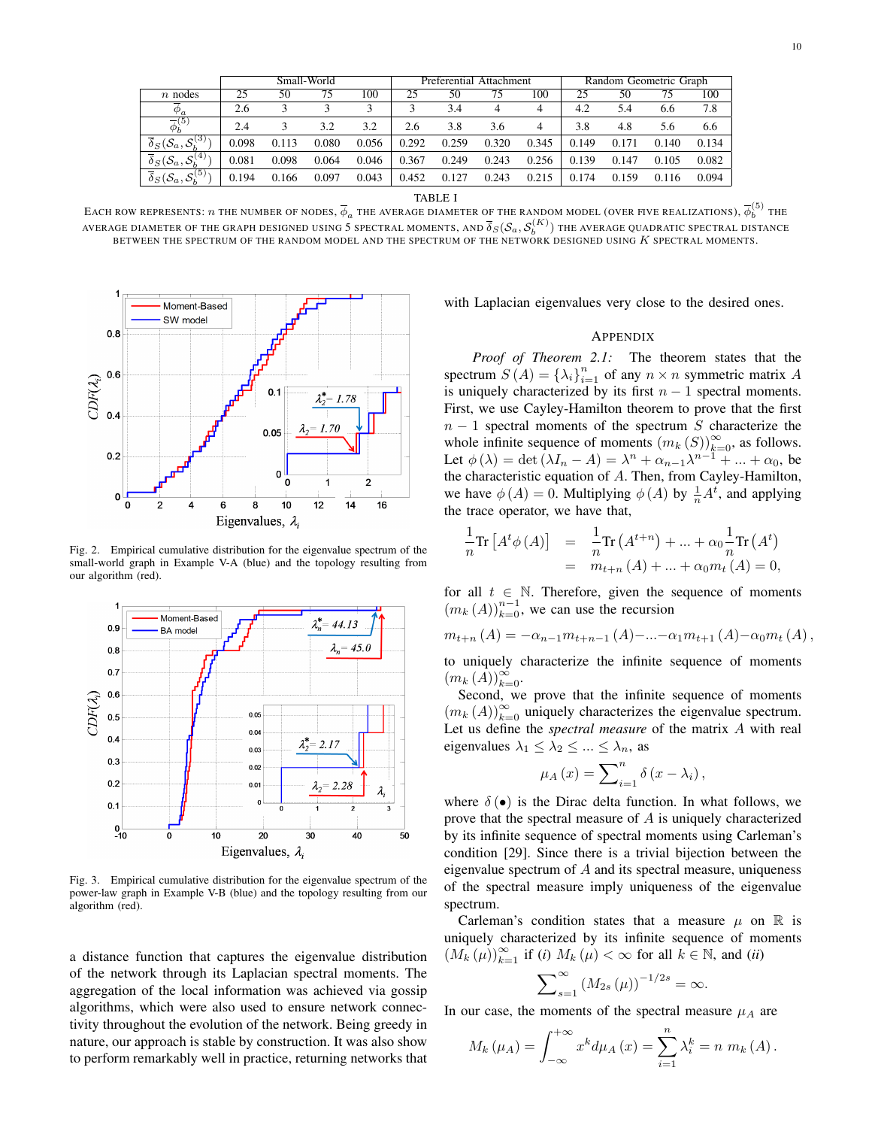|                                                            | Small-World |       |       |       | Preferential<br>Attachment |       |       |       | Random Geometric Graph |       |       |       |
|------------------------------------------------------------|-------------|-------|-------|-------|----------------------------|-------|-------|-------|------------------------|-------|-------|-------|
| $n$ nodes                                                  | 25          | 50    | 75    | 100   | 25                         | 50    | 75    | 100   | 25                     | 50    | 75    | 100   |
| $\phi_a$                                                   | 2.6         |       |       |       | κ                          | 3.4   |       | 4     | 4.2                    | 5.4   | 6.6   | 7.8   |
| $\overline{\phi}_b^{(5)}$                                  | 2.4         |       | 3.2   | 3.2   | 2.6                        | 3.8   | 3.6   | 4     | 3.8                    | 4.8   | 5.6   | 6.6   |
| $\overline{\delta_S(\mathcal{S}_a,\mathcal{S}_b^{(3)})}$   | 0.098       | 0.113 | 0.080 | 0.056 | 0.292                      | 0.259 | 0.320 | 0.345 | 0.149                  | 0.171 | 0.140 | 0.134 |
| $\delta_S(\mathcal{S}_a,\mathcal{S}^{\overline{(4)}}_b)$ . | 0.081       | 0.098 | 0.064 | 0.046 | 0.367                      | 0.249 | 0.243 | 0.256 | 0.139                  | 0.147 | 0.105 | 0.082 |
| $\overline{\delta_S(\mathcal{S}_a,\mathcal{S}_b^{(5)})}$   | 0.194       | 0.166 | 0.097 | 0.043 | 0.452                      | 0.127 | 0.243 | 0.215 | 0.174                  | 0.159 | 0.116 | 0.094 |

TABLE I

EACH ROW REPRESENTS:  $n$  the number of nodes,  $\overline{\phi}_a$  the average diameter of the random model (over five realizations),  $\overline{\phi}_b^{(5)}$  the AVERAGE DIAMETER OF THE GRAPH DESIGNED USING 5 SPECTRAL MOMENTS, AND  $\bar{\delta}_S(\mathcal{S}_a,\mathcal{S}_b^{(K)})$  the average quadratic spectral distance BETWEEN THE SPECTRUM OF THE RANDOM MODEL AND THE SPECTRUM OF THE NETWORK DESIGNED USING K SPECTRAL MOMENTS.



Fig. 2. Empirical cumulative distribution for the eigenvalue spectrum of the small-world graph in Example V-A (blue) and the topology resulting from our algorithm (red).



Fig. 3. Empirical cumulative distribution for the eigenvalue spectrum of the power-law graph in Example V-B (blue) and the topology resulting from our algorithm (red).

a distance function that captures the eigenvalue distribution of the network through its Laplacian spectral moments. The aggregation of the local information was achieved via gossip algorithms, which were also used to ensure network connectivity throughout the evolution of the network. Being greedy in nature, our approach is stable by construction. It was also show to perform remarkably well in practice, returning networks that with Laplacian eigenvalues very close to the desired ones.

## **APPENDIX**

*Proof of Theorem 2.1:* The theorem states that the spectrum  $S(A) = {\lambda_i}_{i=1}^n$  of any  $n \times n$  symmetric matrix A is uniquely characterized by its first  $n - 1$  spectral moments. First, we use Cayley-Hamilton theorem to prove that the first  $n - 1$  spectral moments of the spectrum S characterize the whole infinite sequence of moments  $(m_k(S))_{k=0}^{\infty}$ , as follows. Let  $\phi(\lambda) = \det(\lambda I_n - A) = \lambda^n + \alpha_{n-1}\lambda^{n-1} + \dots + \alpha_0$ , be the characteristic equation of A. Then, from Cayley-Hamilton, we have  $\phi(A) = 0$ . Multiplying  $\phi(A)$  by  $\frac{1}{n}A^t$ , and applying the trace operator, we have that,

$$
\frac{1}{n}\text{Tr}\left[A^{t}\phi(A)\right] = \frac{1}{n}\text{Tr}\left(A^{t+n}\right) + \dots + \alpha_{0}\frac{1}{n}\text{Tr}\left(A^{t}\right) \n= m_{t+n}(A) + \dots + \alpha_{0}m_{t}(A) = 0,
$$

for all  $t \in \mathbb{N}$ . Therefore, given the sequence of moments  $(m_k(A))_{k=0}^{n-1}$ , we can use the recursion

$$
m_{t+n}(A) = -\alpha_{n-1} m_{t+n-1}(A) - \dots - \alpha_1 m_{t+1}(A) - \alpha_0 m_t(A),
$$
  
to uniquely characterize the infinite sequence of moments

 $(m_k(A))_{k=0}^{\infty}$ . Second, we prove that the infinite sequence of moments  $(m_k(A))_{k=0}^{\infty}$  uniquely characterizes the eigenvalue spectrum.

Let us define the *spectral measure* of the matrix A with real eigenvalues  $\lambda_1 \leq \lambda_2 \leq ... \leq \lambda_n$ , as

$$
\mu_A(x) = \sum_{i=1}^n \delta(x - \lambda_i),
$$

where  $\delta(\bullet)$  is the Dirac delta function. In what follows, we prove that the spectral measure of A is uniquely characterized by its infinite sequence of spectral moments using Carleman's condition [29]. Since there is a trivial bijection between the eigenvalue spectrum of  $A$  and its spectral measure, uniqueness of the spectral measure imply uniqueness of the eigenvalue spectrum.

Carleman's condition states that a measure  $\mu$  on  $\mathbb R$  is uniquely characterized by its infinite sequence of moments  $(M_k(\mu))_{k=1}^{\infty}$  if (*i*)  $M_k(\mu) < \infty$  for all  $k \in \mathbb{N}$ , and (*ii*)

$$
\sum_{s=1}^{\infty} (M_{2s}(\mu))^{-1/2s} = \infty.
$$

In our case, the moments of the spectral measure  $\mu_A$  are

$$
M_{k}(\mu_{A}) = \int_{-\infty}^{+\infty} x^{k} d\mu_{A}(x) = \sum_{i=1}^{n} \lambda_{i}^{k} = n \ m_{k}(A).
$$